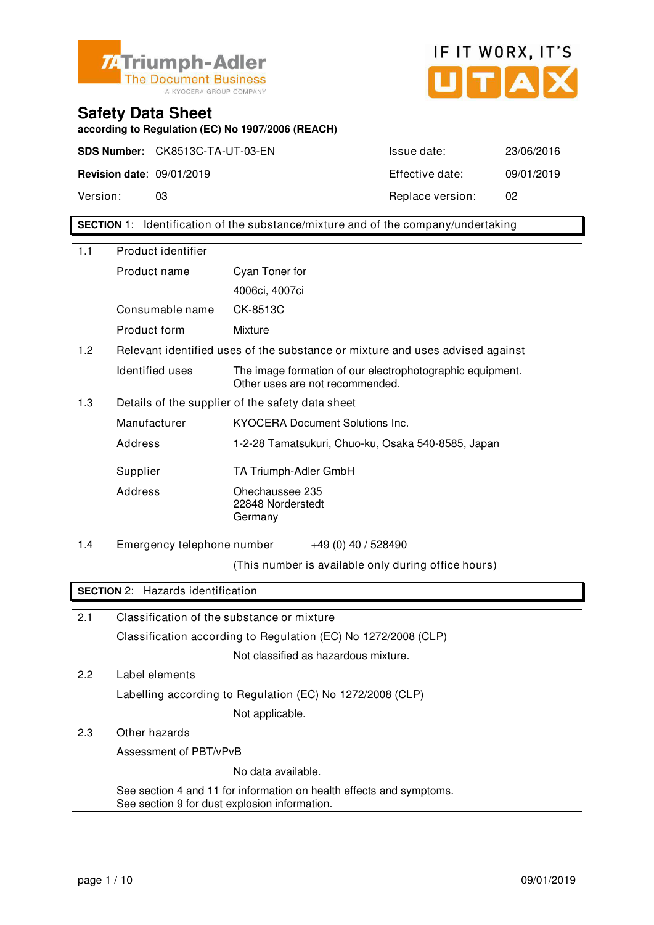



**according to Regulation (EC) No 1907/2006 (REACH)**

Version: 03 03 Replace version: 02

**SECTION** 1: Identification of the substance/mixture and of the company/undertaking

| 1.1 | Product identifier                            |                                                                                              |
|-----|-----------------------------------------------|----------------------------------------------------------------------------------------------|
|     | Product name                                  | Cyan Toner for                                                                               |
|     |                                               | 4006ci, 4007ci                                                                               |
|     | Consumable name                               | CK-8513C                                                                                     |
|     | Product form                                  | Mixture                                                                                      |
| 1.2 |                                               | Relevant identified uses of the substance or mixture and uses advised against                |
|     | Identified uses                               | The image formation of our electrophotographic equipment.<br>Other uses are not recommended. |
| 1.3 |                                               | Details of the supplier of the safety data sheet                                             |
|     | Manufacturer                                  | <b>KYOCERA Document Solutions Inc.</b>                                                       |
|     | Address                                       | 1-2-28 Tamatsukuri, Chuo-ku, Osaka 540-8585, Japan                                           |
|     | Supplier                                      | TA Triumph-Adler GmbH                                                                        |
|     | Address                                       | Ohechaussee 235<br>22848 Norderstedt<br>Germany                                              |
| 1.4 | Emergency telephone number                    | +49 (0) 40 / 528490                                                                          |
|     |                                               | (This number is available only during office hours)                                          |
|     | <b>SECTION 2: Hazards identification</b>      |                                                                                              |
| 2.1 | Classification of the substance or mixture    |                                                                                              |
|     |                                               | Classification according to Regulation (EC) No 1272/2008 (CLP)                               |
|     |                                               | Not classified as hazardous mixture.                                                         |
| 2.2 | Label elements                                |                                                                                              |
|     |                                               | Labelling according to Regulation (EC) No 1272/2008 (CLP)                                    |
|     |                                               | Not applicable.                                                                              |
| 2.3 | Other hazards                                 |                                                                                              |
|     | Assessment of PBT/vPvB                        |                                                                                              |
|     |                                               | No data available.                                                                           |
|     | See section 9 for dust explosion information. | See section 4 and 11 for information on health effects and symptoms.                         |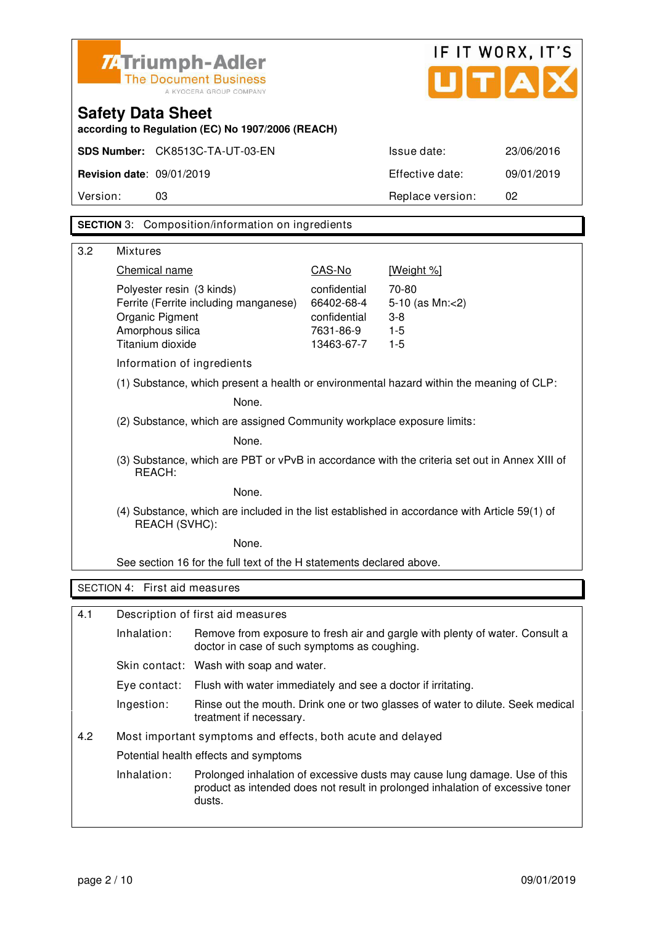| <b>74 Triumph-Adler</b><br><b>The Document Business</b><br>A KYOCERA GROUP COMPANY |                                                                                                                |                                                                                          |              | UITIA                                                                                                                                                        | IF IT WORX, IT'S |
|------------------------------------------------------------------------------------|----------------------------------------------------------------------------------------------------------------|------------------------------------------------------------------------------------------|--------------|--------------------------------------------------------------------------------------------------------------------------------------------------------------|------------------|
|                                                                                    | <b>Safety Data Sheet</b>                                                                                       | according to Regulation (EC) No 1907/2006 (REACH)                                        |              |                                                                                                                                                              |                  |
|                                                                                    |                                                                                                                | SDS Number: CK8513C-TA-UT-03-EN                                                          |              | Issue date:                                                                                                                                                  | 23/06/2016       |
|                                                                                    | <b>Revision date: 09/01/2019</b>                                                                               |                                                                                          |              | Effective date:                                                                                                                                              | 09/01/2019       |
| Version:                                                                           | 03                                                                                                             |                                                                                          |              | Replace version:                                                                                                                                             | 02               |
|                                                                                    |                                                                                                                | <b>SECTION</b> 3: Composition/information on ingredients                                 |              |                                                                                                                                                              |                  |
| 3.2                                                                                |                                                                                                                |                                                                                          |              |                                                                                                                                                              |                  |
|                                                                                    | <b>Mixtures</b><br>Chemical name                                                                               |                                                                                          | CAS-No       | [Weight %]                                                                                                                                                   |                  |
|                                                                                    | Polyester resin (3 kinds)                                                                                      |                                                                                          | confidential | 70-80                                                                                                                                                        |                  |
|                                                                                    |                                                                                                                | Ferrite (Ferrite including manganese)                                                    | 66402-68-4   | 5-10 (as Mn:<2)                                                                                                                                              |                  |
|                                                                                    | Organic Pigment                                                                                                |                                                                                          | confidential | $3 - 8$                                                                                                                                                      |                  |
|                                                                                    | Amorphous silica                                                                                               |                                                                                          | 7631-86-9    | $1 - 5$                                                                                                                                                      |                  |
|                                                                                    | Titanium dioxide                                                                                               |                                                                                          | 13463-67-7   | $1-5$                                                                                                                                                        |                  |
|                                                                                    | Information of ingredients                                                                                     |                                                                                          |              |                                                                                                                                                              |                  |
|                                                                                    |                                                                                                                | (1) Substance, which present a health or environmental hazard within the meaning of CLP: |              |                                                                                                                                                              |                  |
|                                                                                    | None.                                                                                                          |                                                                                          |              |                                                                                                                                                              |                  |
| (2) Substance, which are assigned Community workplace exposure limits:             |                                                                                                                |                                                                                          |              |                                                                                                                                                              |                  |
| None.                                                                              |                                                                                                                |                                                                                          |              |                                                                                                                                                              |                  |
|                                                                                    | (3) Substance, which are PBT or vPvB in accordance with the criteria set out in Annex XIII of<br>REACH:        |                                                                                          |              |                                                                                                                                                              |                  |
|                                                                                    |                                                                                                                | None.                                                                                    |              |                                                                                                                                                              |                  |
|                                                                                    | (4) Substance, which are included in the list established in accordance with Article 59(1) of<br>REACH (SVHC): |                                                                                          |              |                                                                                                                                                              |                  |
|                                                                                    |                                                                                                                | None.                                                                                    |              |                                                                                                                                                              |                  |
|                                                                                    |                                                                                                                | See section 16 for the full text of the H statements declared above.                     |              |                                                                                                                                                              |                  |
|                                                                                    | SECTION 4: First aid measures                                                                                  |                                                                                          |              |                                                                                                                                                              |                  |
| 4.1                                                                                |                                                                                                                | Description of first aid measures                                                        |              |                                                                                                                                                              |                  |
|                                                                                    | Inhalation:                                                                                                    | doctor in case of such symptoms as coughing.                                             |              | Remove from exposure to fresh air and gargle with plenty of water. Consult a                                                                                 |                  |
|                                                                                    |                                                                                                                | Skin contact: Wash with soap and water.                                                  |              |                                                                                                                                                              |                  |
|                                                                                    | Eye contact:                                                                                                   | Flush with water immediately and see a doctor if irritating.                             |              |                                                                                                                                                              |                  |
|                                                                                    | Ingestion:                                                                                                     | treatment if necessary.                                                                  |              | Rinse out the mouth. Drink one or two glasses of water to dilute. Seek medical                                                                               |                  |
| 4.2                                                                                |                                                                                                                | Most important symptoms and effects, both acute and delayed                              |              |                                                                                                                                                              |                  |
|                                                                                    |                                                                                                                | Potential health effects and symptoms                                                    |              |                                                                                                                                                              |                  |
|                                                                                    | Inhalation:                                                                                                    | dusts.                                                                                   |              | Prolonged inhalation of excessive dusts may cause lung damage. Use of this<br>product as intended does not result in prolonged inhalation of excessive toner |                  |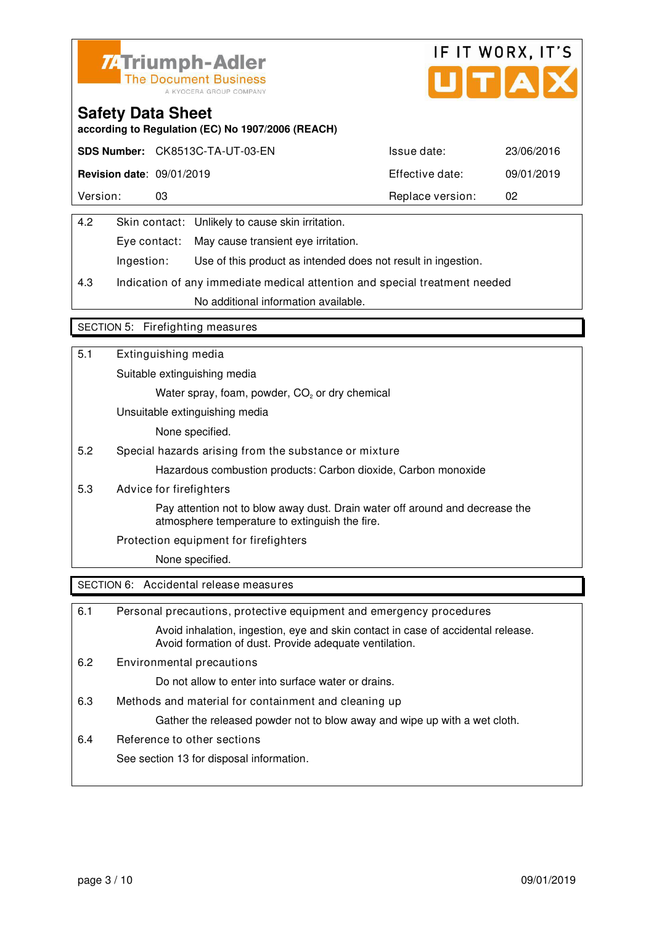



**according to Regulation (EC) No 1907/2006 (REACH)**

|                                  | SDS Number: CK8513C-TA-UT-03-EN | Issue date:      | 23/06/2016 |
|----------------------------------|---------------------------------|------------------|------------|
| <b>Revision date: 09/01/2019</b> |                                 | Effective date:  | 09/01/2019 |
| Version:                         |                                 | Replace version: | 02         |

| 4.2 |            | Skin contact: Unlikely to cause skin irritation.              |
|-----|------------|---------------------------------------------------------------|
|     |            | Eye contact: May cause transient eye irritation.              |
|     | Ingestion: | Use of this product as intended does not result in ingestion. |

4.3 Indication of any immediate medical attention and special treatment needed No additional information available.

#### SECTION 5: Firefighting measures

| 5.1 | Extinguishing media                                                                                                            |
|-----|--------------------------------------------------------------------------------------------------------------------------------|
|     | Suitable extinguishing media                                                                                                   |
|     | Water spray, foam, powder, CO <sub>2</sub> or dry chemical                                                                     |
|     | Unsuitable extinguishing media                                                                                                 |
|     | None specified.                                                                                                                |
| 5.2 | Special hazards arising from the substance or mixture                                                                          |
|     | Hazardous combustion products: Carbon dioxide, Carbon monoxide                                                                 |
| 5.3 | Advice for firefighters                                                                                                        |
|     | Pay attention not to blow away dust. Drain water off around and decrease the<br>atmosphere temperature to extinguish the fire. |
|     | Protection equipment for firefighters                                                                                          |
|     | None specified.                                                                                                                |
|     | SECTION 6: Accidental release measures                                                                                         |

| 6.1 | Personal precautions, protective equipment and emergency procedures                                                                        |
|-----|--------------------------------------------------------------------------------------------------------------------------------------------|
|     | Avoid inhalation, ingestion, eye and skin contact in case of accidental release.<br>Avoid formation of dust. Provide adequate ventilation. |
| 6.2 | Environmental precautions                                                                                                                  |
|     | Do not allow to enter into surface water or drains.                                                                                        |
| 6.3 | Methods and material for containment and cleaning up                                                                                       |
|     | Gather the released powder not to blow away and wipe up with a wet cloth.                                                                  |
| 6.4 | Reference to other sections                                                                                                                |
|     | See section 13 for disposal information.                                                                                                   |
|     |                                                                                                                                            |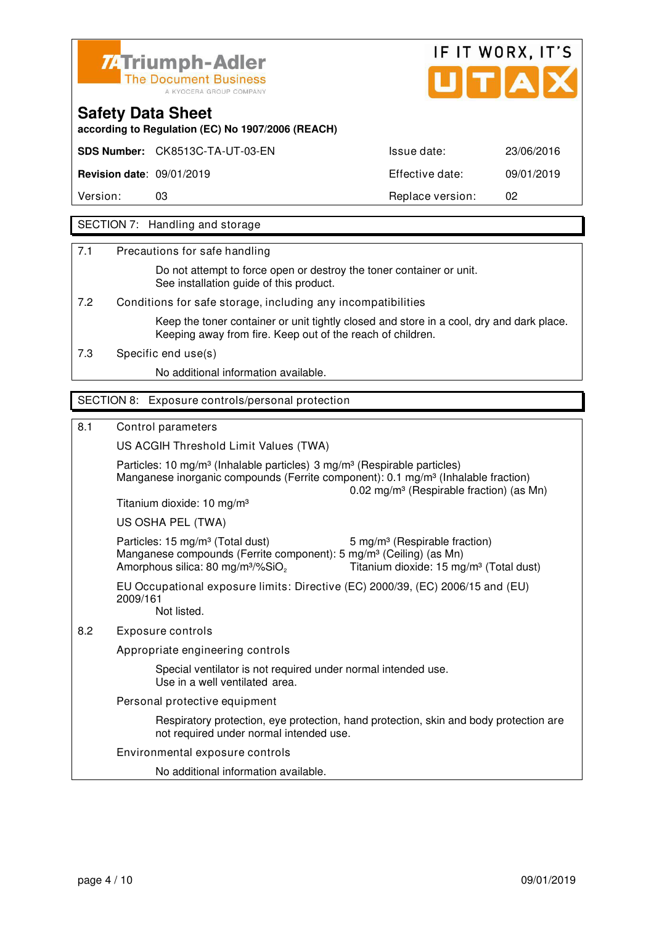



**according to Regulation (EC) No 1907/2006 (REACH)**

**SDS Number:** CK8513C-TA-UT-03-EN Issue date: 23/06/2016

**Revision date**: 09/01/2019 Effective date: 09/01/2019

Version: 03 03 Replace version: 02

### SECTION 7: Handling and storage

7.1 Precautions for safe handling

 Do not attempt to force open or destroy the toner container or unit. See installation guide of this product.

7.2 Conditions for safe storage, including any incompatibilities

 Keep the toner container or unit tightly closed and store in a cool, dry and dark place. Keeping away from fire. Keep out of the reach of children.

7.3 Specific end use(s)

No additional information available.

#### SECTION 8: Exposure controls/personal protection

#### 8.1 Control parameters

US ACGIH Threshold Limit Values (TWA)

Particles: 10 mg/m<sup>3</sup> (Inhalable particles) 3 mg/m<sup>3</sup> (Respirable particles) Manganese inorganic compounds (Ferrite component):  $0.1 \text{ ma/m}^3$  (Inhalable fraction) 0.02 mg/m³ (Respirable fraction) (as Mn) Titanium dioxide: 10 mg/m³ US OSHA PEL (TWA) Particles: 15 mg/m<sup>3</sup> (Total dust) 5 mg/m<sup>3</sup> (Respirable fraction)

Manganese compounds (Ferrite component): 5 mg/m<sup>3</sup> (Ceiling) (as Mn) Amorphous silica: 80 mg/m<sup>3</sup>/%SiO<sub>2</sub> Titanium dioxide: 15 mg/m<sup>3</sup> (Total dust) EU Occupational exposure limits: Directive (EC) 2000/39, (EC) 2006/15 and (EU)

 2009/161 Not listed.

8.2 Exposure controls

Appropriate engineering controls

 Special ventilator is not required under normal intended use. Use in a well ventilated area.

Personal protective equipment

 Respiratory protection, eye protection, hand protection, skin and body protection are not required under normal intended use.

Environmental exposure controls

No additional information available.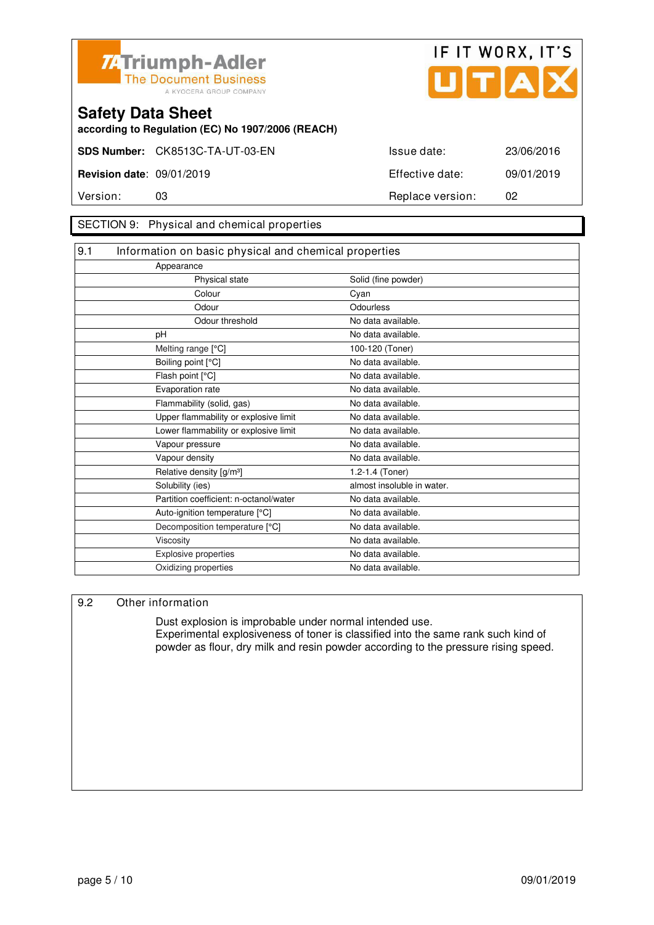



**according to Regulation (EC) No 1907/2006 (REACH)**

#### SECTION 9: Physical and chemical properties

| 9.1 | Information on basic physical and chemical properties |                            |  |
|-----|-------------------------------------------------------|----------------------------|--|
|     | Appearance                                            |                            |  |
|     | Physical state                                        | Solid (fine powder)        |  |
|     | Colour                                                | Cyan                       |  |
|     | Odour                                                 | Odourless                  |  |
|     | Odour threshold                                       | No data available.         |  |
|     | pH                                                    | No data available.         |  |
|     | Melting range [°C]                                    | 100-120 (Toner)            |  |
|     | Boiling point [°C]                                    | No data available.         |  |
|     | Flash point [°C]                                      | No data available.         |  |
|     | Evaporation rate                                      | No data available.         |  |
|     | Flammability (solid, gas)                             | No data available.         |  |
|     | Upper flammability or explosive limit                 | No data available.         |  |
|     | Lower flammability or explosive limit                 | No data available.         |  |
|     | Vapour pressure                                       | No data available.         |  |
|     | Vapour density                                        | No data available.         |  |
|     | Relative density [g/m <sup>3</sup> ]                  | 1.2-1.4 (Toner)            |  |
|     | Solubility (ies)                                      | almost insoluble in water. |  |
|     | Partition coefficient: n-octanol/water                | No data available.         |  |
|     | Auto-ignition temperature [°C]                        | No data available.         |  |
|     | Decomposition temperature [°C]                        | No data available.         |  |
|     | Viscosity                                             | No data available.         |  |
|     | Explosive properties                                  | No data available.         |  |
|     | Oxidizing properties                                  | No data available.         |  |

#### 9.2 Other information

 Dust explosion is improbable under normal intended use. Experimental explosiveness of toner is classified into the same rank such kind of powder as flour, dry milk and resin powder according to the pressure rising speed.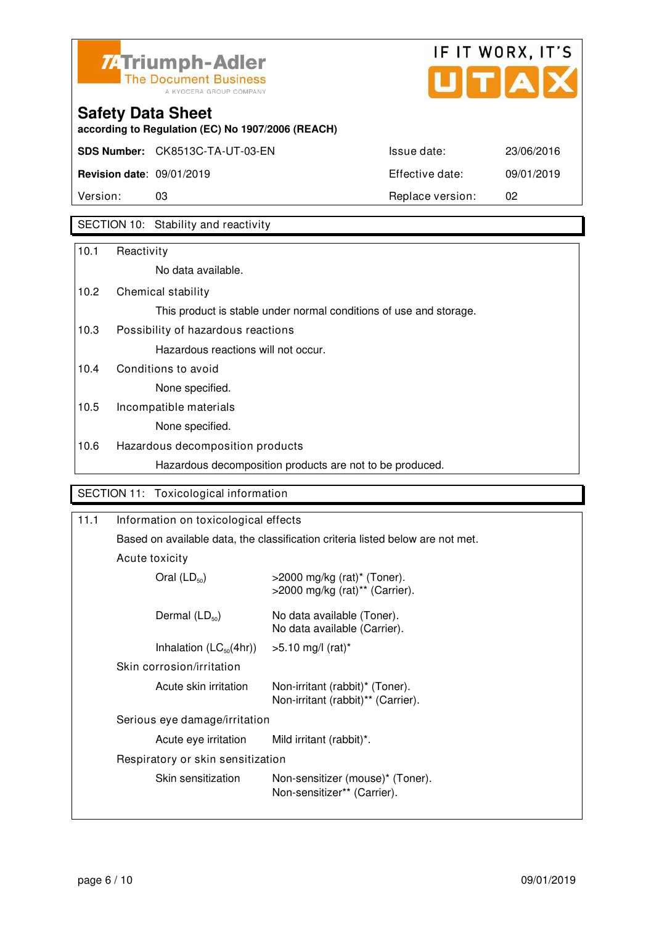



**according to Regulation (EC) No 1907/2006 (REACH)**

| Version:                         | 03                                     | Replace version: | -02        |
|----------------------------------|----------------------------------------|------------------|------------|
| <b>Revision date: 09/01/2019</b> |                                        | Effective date:  | 09/01/2019 |
|                                  | <b>SDS Number:</b> CK8513C-TA-UT-03-EN | Issue date:      | 23/06/2016 |

## SECTION 10: Stability and reactivity

| 10.1 | Reactivity                                                         |
|------|--------------------------------------------------------------------|
|      | No data available.                                                 |
| 10.2 | Chemical stability                                                 |
|      | This product is stable under normal conditions of use and storage. |
| 10.3 | Possibility of hazardous reactions                                 |
|      | Hazardous reactions will not occur.                                |
| 10.4 | Conditions to avoid                                                |
|      | None specified.                                                    |
| 10.5 | Incompatible materials                                             |
|      | None specified.                                                    |
| 10.6 | Hazardous decomposition products                                   |
|      | Hazardous decomposition products are not to be produced.           |
|      | SECTION 11: Toxicological information                              |

| Information on toxicological effects                                           |                                                                       |  |
|--------------------------------------------------------------------------------|-----------------------------------------------------------------------|--|
| Based on available data, the classification criteria listed below are not met. |                                                                       |  |
| Acute toxicity                                                                 |                                                                       |  |
| Oral $(LD_{50})$                                                               | $>$ 2000 mg/kg (rat)* (Toner).<br>>2000 mg/kg (rat)** (Carrier).      |  |
| Dermal $(LD_{50})$                                                             | No data available (Toner).<br>No data available (Carrier).            |  |
| Inhalation $(LC_{50}(4hr))$                                                    | $>5.10$ mg/l (rat)*                                                   |  |
| Skin corrosion/irritation                                                      |                                                                       |  |
| Acute skin irritation                                                          | Non-irritant (rabbit)* (Toner).<br>Non-irritant (rabbit)** (Carrier). |  |
| Serious eye damage/irritation                                                  |                                                                       |  |
| Acute eye irritation                                                           | Mild irritant (rabbit)*.                                              |  |
| Respiratory or skin sensitization                                              |                                                                       |  |
| Skin sensitization                                                             | Non-sensitizer (mouse)* (Toner).<br>Non-sensitizer** (Carrier).       |  |
|                                                                                |                                                                       |  |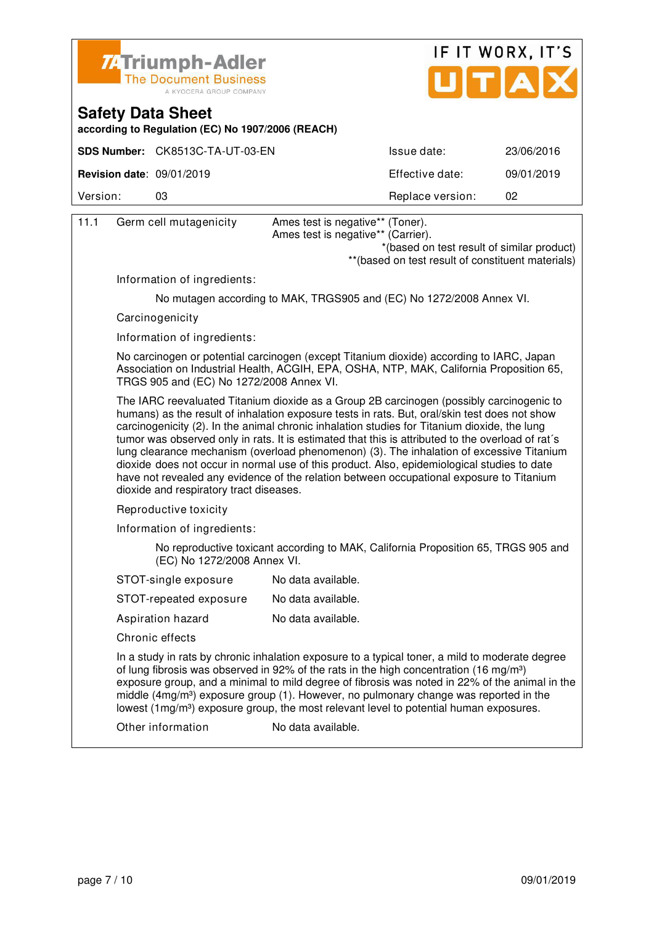



**according to Regulation (EC) No 1907/2006 (REACH)**

|                                               | SDS Number: CK8513C-TA-UT-03-EN | Issue date:      | 23/06/2016 |
|-----------------------------------------------|---------------------------------|------------------|------------|
| <b>Revision date: <math>09/01/2019</math></b> |                                 | Effective date:  | 09/01/2019 |
| Version:                                      | 03                              | Replace version: | 02         |

| 11.1 | Germ cell mutagenicity                   | Ames test is negative** (Toner).<br>Ames test is negative** (Carrier).<br>*(based on test result of similar product)                                                                                                                                                                                                                                                                                                                                                                                                                                                                                                                                                                  |
|------|------------------------------------------|---------------------------------------------------------------------------------------------------------------------------------------------------------------------------------------------------------------------------------------------------------------------------------------------------------------------------------------------------------------------------------------------------------------------------------------------------------------------------------------------------------------------------------------------------------------------------------------------------------------------------------------------------------------------------------------|
|      |                                          | ** (based on test result of constituent materials)                                                                                                                                                                                                                                                                                                                                                                                                                                                                                                                                                                                                                                    |
|      | Information of ingredients:              |                                                                                                                                                                                                                                                                                                                                                                                                                                                                                                                                                                                                                                                                                       |
|      |                                          | No mutagen according to MAK, TRGS905 and (EC) No 1272/2008 Annex VI.                                                                                                                                                                                                                                                                                                                                                                                                                                                                                                                                                                                                                  |
|      | Carcinogenicity                          |                                                                                                                                                                                                                                                                                                                                                                                                                                                                                                                                                                                                                                                                                       |
|      | Information of ingredients:              |                                                                                                                                                                                                                                                                                                                                                                                                                                                                                                                                                                                                                                                                                       |
|      | TRGS 905 and (EC) No 1272/2008 Annex VI. | No carcinogen or potential carcinogen (except Titanium dioxide) according to IARC, Japan<br>Association on Industrial Health, ACGIH, EPA, OSHA, NTP, MAK, California Proposition 65,                                                                                                                                                                                                                                                                                                                                                                                                                                                                                                  |
|      | dioxide and respiratory tract diseases.  | The IARC reevaluated Titanium dioxide as a Group 2B carcinogen (possibly carcinogenic to<br>humans) as the result of inhalation exposure tests in rats. But, oral/skin test does not show<br>carcinogenicity (2). In the animal chronic inhalation studies for Titanium dioxide, the lung<br>tumor was observed only in rats. It is estimated that this is attributed to the overload of rat's<br>lung clearance mechanism (overload phenomenon) (3). The inhalation of excessive Titanium<br>dioxide does not occur in normal use of this product. Also, epidemiological studies to date<br>have not revealed any evidence of the relation between occupational exposure to Titanium |
|      | Reproductive toxicity                    |                                                                                                                                                                                                                                                                                                                                                                                                                                                                                                                                                                                                                                                                                       |
|      | Information of ingredients:              |                                                                                                                                                                                                                                                                                                                                                                                                                                                                                                                                                                                                                                                                                       |
|      | (EC) No 1272/2008 Annex VI.              | No reproductive toxicant according to MAK, California Proposition 65, TRGS 905 and                                                                                                                                                                                                                                                                                                                                                                                                                                                                                                                                                                                                    |
|      | STOT-single exposure                     | No data available.                                                                                                                                                                                                                                                                                                                                                                                                                                                                                                                                                                                                                                                                    |
|      | STOT-repeated exposure                   | No data available.                                                                                                                                                                                                                                                                                                                                                                                                                                                                                                                                                                                                                                                                    |
|      | Aspiration hazard                        | No data available.                                                                                                                                                                                                                                                                                                                                                                                                                                                                                                                                                                                                                                                                    |
|      | Chronic effects                          |                                                                                                                                                                                                                                                                                                                                                                                                                                                                                                                                                                                                                                                                                       |
|      |                                          | In a study in rats by chronic inhalation exposure to a typical toner, a mild to moderate degree<br>of lung fibrosis was observed in 92% of the rats in the high concentration (16 mg/m <sup>3</sup> )<br>exposure group, and a minimal to mild degree of fibrosis was noted in 22% of the animal in the<br>middle (4mg/m <sup>3</sup> ) exposure group (1). However, no pulmonary change was reported in the<br>lowest (1mg/m <sup>3</sup> ) exposure group, the most relevant level to potential human exposures.                                                                                                                                                                    |
|      | Other information                        | No data available.                                                                                                                                                                                                                                                                                                                                                                                                                                                                                                                                                                                                                                                                    |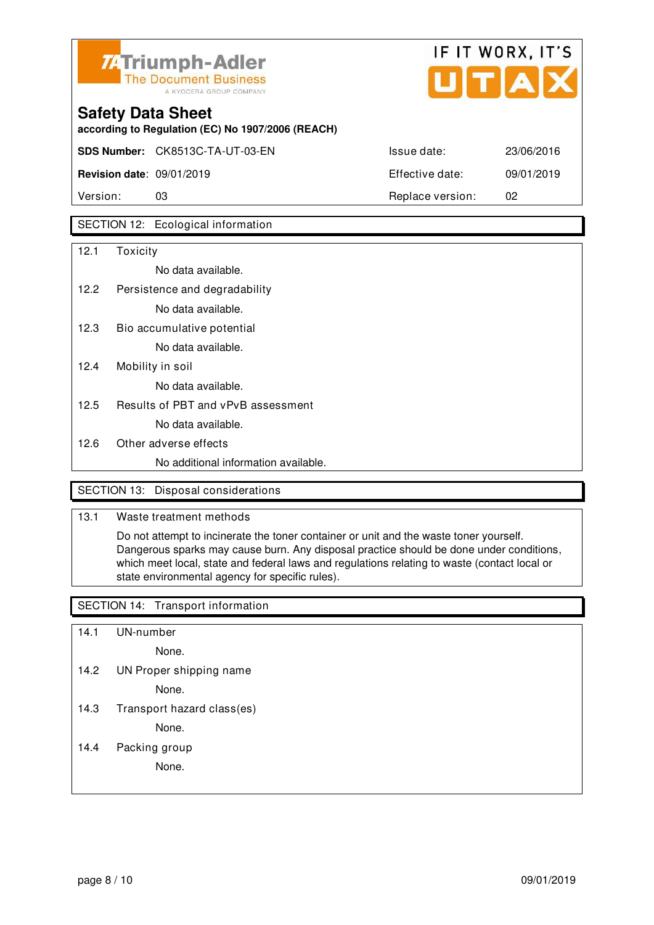



**SDS Number:** CK8513C-TA-UT-03-EN Issue date: 23/06/2016 **Revision date**: 09/01/2019 Effective date: 09/01/2019

**according to Regulation (EC) No 1907/2006 (REACH)**

Version: 03 Replace version: 02

### SECTION 12: Ecological information

| 12.1              | Toxicity                             |
|-------------------|--------------------------------------|
|                   | No data available.                   |
| 12.2 <sub>1</sub> | Persistence and degradability        |
|                   | No data available.                   |
| 12.3              | Bio accumulative potential           |
|                   | No data available.                   |
| 12.4              | Mobility in soil                     |
|                   | No data available.                   |
| 12.5              | Results of PBT and vPvB assessment   |
|                   | No data available.                   |
| 12.6              | Other adverse effects                |
|                   | No additional information available. |
|                   |                                      |

### SECTION 13: Disposal considerations

### 13.1 Waste treatment methods

 Do not attempt to incinerate the toner container or unit and the waste toner yourself. Dangerous sparks may cause burn. Any disposal practice should be done under conditions, which meet local, state and federal laws and regulations relating to waste (contact local or state environmental agency for specific rules).

#### SECTION 14: Transport information

- 14.1 UN-number
	- None.
- 14.2 UN Proper shipping name

None.

14.3 Transport hazard class(es)

None.

14.4 Packing group

None.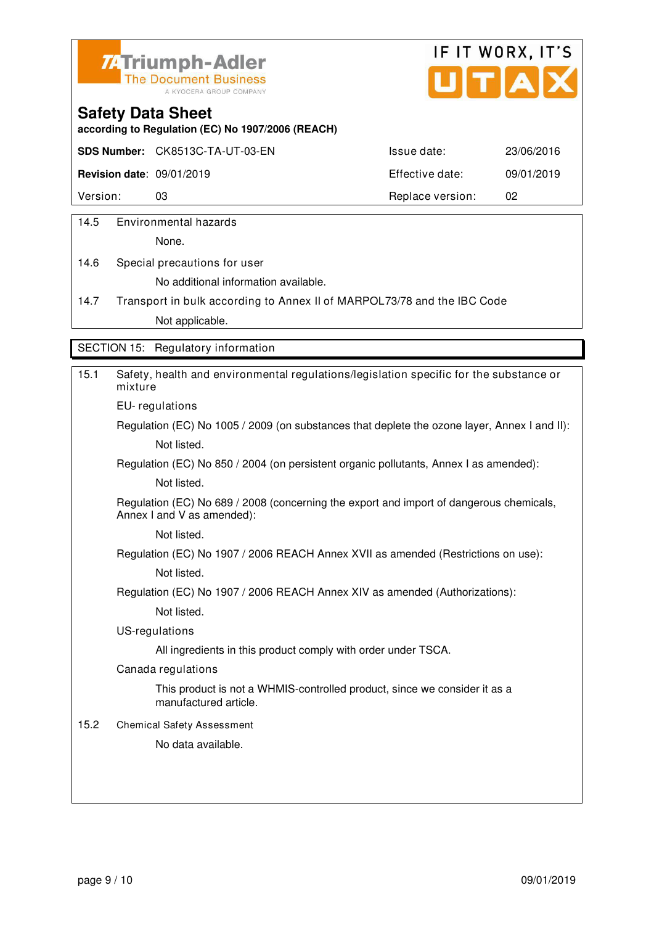



**according to Regulation (EC) No 1907/2006 (REACH)**

**SDS Number:** CK8513C-TA-UT-03-EN Issue date: 23/06/2016

**Revision date**: 09/01/2019 Effective date: 09/01/2019

Version: 03 03 Replace version: 02

14.5 Environmental hazards

None.

14.6 Special precautions for user No additional information available.

14.7 Transport in bulk according to Annex II of MARPOL73/78 and the IBC Code Not applicable.

SECTION 15: Regulatory information

| 15.1 | Safety, health and environmental regulations/legislation specific for the substance or<br>mixture                     |
|------|-----------------------------------------------------------------------------------------------------------------------|
|      | EU-regulations                                                                                                        |
|      | Regulation (EC) No 1005 / 2009 (on substances that deplete the ozone layer, Annex I and II):                          |
|      | Not listed.                                                                                                           |
|      | Regulation (EC) No 850 / 2004 (on persistent organic pollutants, Annex I as amended):                                 |
|      | Not listed.                                                                                                           |
|      | Regulation (EC) No 689 / 2008 (concerning the export and import of dangerous chemicals,<br>Annex I and V as amended): |
|      | Not listed.                                                                                                           |
|      | Regulation (EC) No 1907 / 2006 REACH Annex XVII as amended (Restrictions on use):                                     |
|      | Not listed.                                                                                                           |
|      | Regulation (EC) No 1907 / 2006 REACH Annex XIV as amended (Authorizations):                                           |
|      | Not listed.                                                                                                           |
|      | US-regulations                                                                                                        |
|      | All ingredients in this product comply with order under TSCA.                                                         |
|      | Canada regulations                                                                                                    |
|      | This product is not a WHMIS-controlled product, since we consider it as a<br>manufactured article.                    |
| 15.2 | <b>Chemical Safety Assessment</b>                                                                                     |
|      | No data available.                                                                                                    |
|      |                                                                                                                       |
|      |                                                                                                                       |
|      |                                                                                                                       |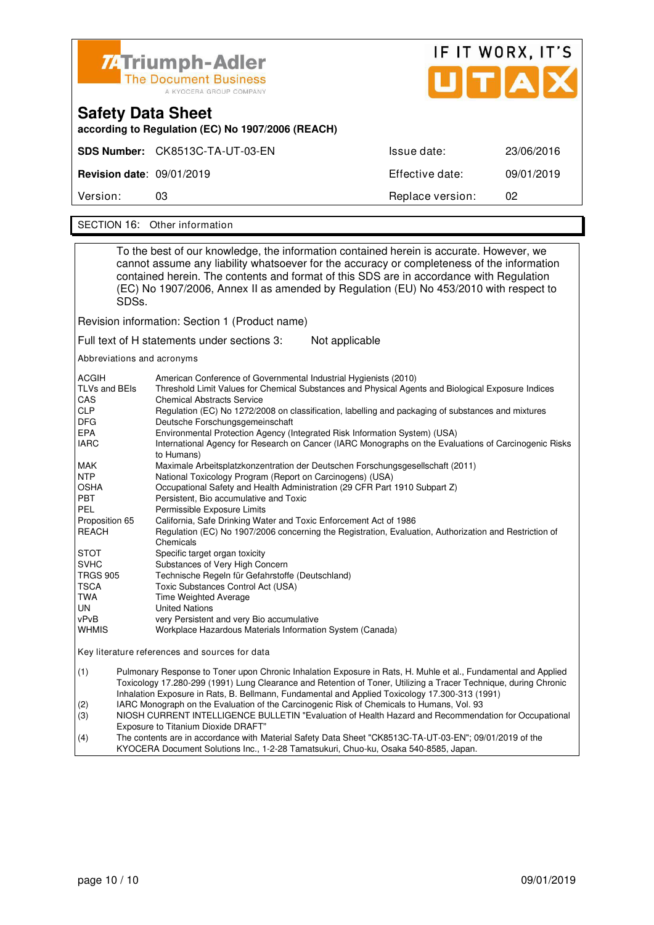|                                                                               | 74 Triumph-Adler<br><b>The Document Business</b><br>A KYOCERA GROUP COMPANY | UITAX            | IF IT WORX, IT'S |  |
|-------------------------------------------------------------------------------|-----------------------------------------------------------------------------|------------------|------------------|--|
| <b>Safety Data Sheet</b><br>according to Regulation (EC) No 1907/2006 (REACH) |                                                                             |                  |                  |  |
|                                                                               | SDS Number: CK8513C-TA-UT-03-EN                                             | Issue date:      | 23/06/2016       |  |
| <b>Revision date: 09/01/2019</b>                                              |                                                                             | Effective date:  | 09/01/2019       |  |
| Version:                                                                      | 03                                                                          | Replace version: | 02               |  |

SECTION 16: Other information

| To the best of our knowledge, the information contained herein is accurate. However, we<br>cannot assume any liability whatsoever for the accuracy or completeness of the information<br>contained herein. The contents and format of this SDS are in accordance with Regulation<br>(EC) No 1907/2006, Annex II as amended by Regulation (EU) No 453/2010 with respect to<br>SDS <sub>s</sub> .                                                                                                                                                                                                                                                                                                                                                                                                                                                                                                                                                                                                                                                                                                                                                                                                                                                                                                                                                                                                                                                                                                             |  |  |  |
|-------------------------------------------------------------------------------------------------------------------------------------------------------------------------------------------------------------------------------------------------------------------------------------------------------------------------------------------------------------------------------------------------------------------------------------------------------------------------------------------------------------------------------------------------------------------------------------------------------------------------------------------------------------------------------------------------------------------------------------------------------------------------------------------------------------------------------------------------------------------------------------------------------------------------------------------------------------------------------------------------------------------------------------------------------------------------------------------------------------------------------------------------------------------------------------------------------------------------------------------------------------------------------------------------------------------------------------------------------------------------------------------------------------------------------------------------------------------------------------------------------------|--|--|--|
| Revision information: Section 1 (Product name)                                                                                                                                                                                                                                                                                                                                                                                                                                                                                                                                                                                                                                                                                                                                                                                                                                                                                                                                                                                                                                                                                                                                                                                                                                                                                                                                                                                                                                                              |  |  |  |
| Full text of H statements under sections 3:<br>Not applicable                                                                                                                                                                                                                                                                                                                                                                                                                                                                                                                                                                                                                                                                                                                                                                                                                                                                                                                                                                                                                                                                                                                                                                                                                                                                                                                                                                                                                                               |  |  |  |
| Abbreviations and acronyms                                                                                                                                                                                                                                                                                                                                                                                                                                                                                                                                                                                                                                                                                                                                                                                                                                                                                                                                                                                                                                                                                                                                                                                                                                                                                                                                                                                                                                                                                  |  |  |  |
| ACGIH<br>American Conference of Governmental Industrial Hygienists (2010)<br>TLVs and BEIs<br>Threshold Limit Values for Chemical Substances and Physical Agents and Biological Exposure Indices<br>CAS<br><b>Chemical Abstracts Service</b><br><b>CLP</b><br>Regulation (EC) No 1272/2008 on classification, labelling and packaging of substances and mixtures<br>DFG<br>Deutsche Forschungsgemeinschaft<br><b>EPA</b><br>Environmental Protection Agency (Integrated Risk Information System) (USA)<br><b>IARC</b><br>International Agency for Research on Cancer (IARC Monographs on the Evaluations of Carcinogenic Risks<br>to Humans)<br>MAK<br>Maximale Arbeitsplatzkonzentration der Deutschen Forschungsgesellschaft (2011)<br><b>NTP</b><br>National Toxicology Program (Report on Carcinogens) (USA)<br><b>OSHA</b><br>Occupational Safety and Health Administration (29 CFR Part 1910 Subpart Z)<br>PBT<br>Persistent, Bio accumulative and Toxic<br>PEL<br>Permissible Exposure Limits<br>Proposition 65<br>California, Safe Drinking Water and Toxic Enforcement Act of 1986<br><b>REACH</b><br>Regulation (EC) No 1907/2006 concerning the Registration, Evaluation, Authorization and Restriction of<br>Chemicals<br>STOT<br>Specific target organ toxicity<br><b>SVHC</b><br>Substances of Very High Concern<br>TRGS 905<br>Technische Regeln für Gefahrstoffe (Deutschland)<br>TSCA<br>Toxic Substances Control Act (USA)<br>TWA<br>Time Weighted Average<br>UN<br><b>United Nations</b> |  |  |  |
| vPvB<br>very Persistent and very Bio accumulative                                                                                                                                                                                                                                                                                                                                                                                                                                                                                                                                                                                                                                                                                                                                                                                                                                                                                                                                                                                                                                                                                                                                                                                                                                                                                                                                                                                                                                                           |  |  |  |
| <b>WHMIS</b><br>Workplace Hazardous Materials Information System (Canada)                                                                                                                                                                                                                                                                                                                                                                                                                                                                                                                                                                                                                                                                                                                                                                                                                                                                                                                                                                                                                                                                                                                                                                                                                                                                                                                                                                                                                                   |  |  |  |
| Key literature references and sources for data                                                                                                                                                                                                                                                                                                                                                                                                                                                                                                                                                                                                                                                                                                                                                                                                                                                                                                                                                                                                                                                                                                                                                                                                                                                                                                                                                                                                                                                              |  |  |  |
| (1)<br>Pulmonary Response to Toner upon Chronic Inhalation Exposure in Rats, H. Muhle et al., Fundamental and Applied<br>Toxicology 17.280-299 (1991) Lung Clearance and Retention of Toner, Utilizing a Tracer Technique, during Chronic<br>Inhalation Exposure in Rats, B. Bellmann, Fundamental and Applied Toxicology 17.300-313 (1991)                                                                                                                                                                                                                                                                                                                                                                                                                                                                                                                                                                                                                                                                                                                                                                                                                                                                                                                                                                                                                                                                                                                                                                 |  |  |  |
| IARC Monograph on the Evaluation of the Carcinogenic Risk of Chemicals to Humans, Vol. 93<br>(2)<br>(3)                                                                                                                                                                                                                                                                                                                                                                                                                                                                                                                                                                                                                                                                                                                                                                                                                                                                                                                                                                                                                                                                                                                                                                                                                                                                                                                                                                                                     |  |  |  |
| NIOSH CURRENT INTELLIGENCE BULLETIN "Evaluation of Health Hazard and Recommendation for Occupational<br>Exposure to Titanium Dioxide DRAFT"<br>$\overline{A}$                                                                                                                                                                                                                                                                                                                                                                                                                                                                                                                                                                                                                                                                                                                                                                                                                                                                                                                                                                                                                                                                                                                                                                                                                                                                                                                                               |  |  |  |

(4) The contents are in accordance with Material Safety Data Sheet "CK8513C-TA-UT-03-EN"; 09/01/2019 of the KYOCERA Document Solutions Inc., 1-2-28 Tamatsukuri, Chuo-ku, Osaka 540-8585, Japan.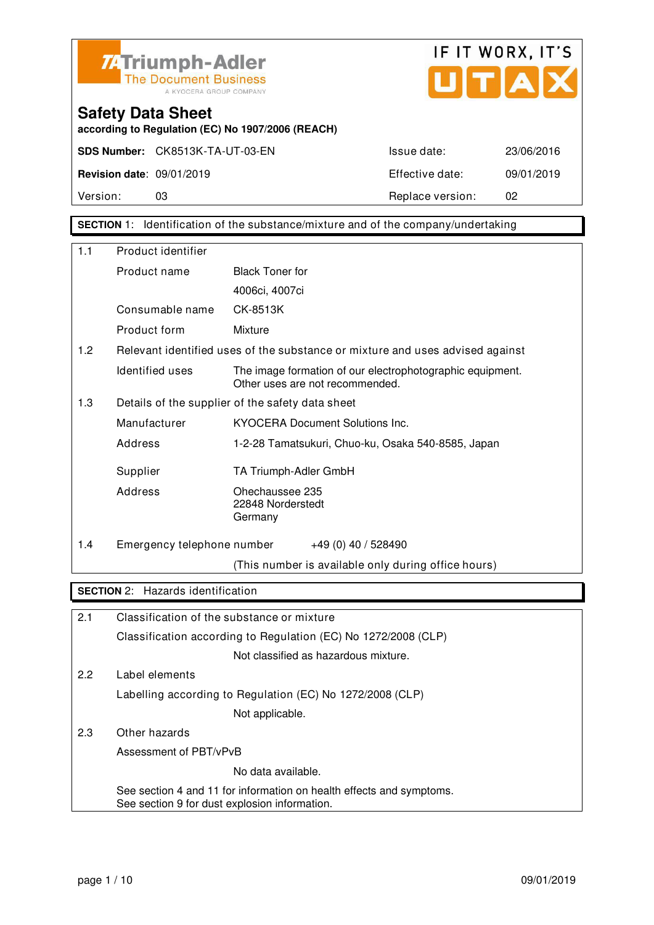



**according to Regulation (EC) No 1907/2006 (REACH)**

Version: 03 03 Replace version: 02

**SECTION** 1: Identification of the substance/mixture and of the company/undertaking

| 1.1 | Product identifier                            |                                                                                              |
|-----|-----------------------------------------------|----------------------------------------------------------------------------------------------|
|     | Product name                                  | <b>Black Toner for</b>                                                                       |
|     |                                               | 4006ci, 4007ci                                                                               |
|     | Consumable name                               | CK-8513K                                                                                     |
|     | Product form                                  | Mixture                                                                                      |
| 1.2 |                                               | Relevant identified uses of the substance or mixture and uses advised against                |
|     | Identified uses                               | The image formation of our electrophotographic equipment.<br>Other uses are not recommended. |
| 1.3 |                                               | Details of the supplier of the safety data sheet                                             |
|     | Manufacturer                                  | <b>KYOCERA Document Solutions Inc.</b>                                                       |
|     | Address                                       | 1-2-28 Tamatsukuri, Chuo-ku, Osaka 540-8585, Japan                                           |
|     | Supplier                                      | TA Triumph-Adler GmbH                                                                        |
|     | Address                                       | Ohechaussee 235<br>22848 Norderstedt<br>Germany                                              |
| 1.4 | Emergency telephone number                    | +49 (0) 40 / 528490                                                                          |
|     |                                               | (This number is available only during office hours)                                          |
|     | <b>SECTION 2:</b> Hazards identification      |                                                                                              |
| 2.1 |                                               | Classification of the substance or mixture                                                   |
|     |                                               | Classification according to Regulation (EC) No 1272/2008 (CLP)                               |
|     |                                               | Not classified as hazardous mixture.                                                         |
| 2.2 | Label elements                                |                                                                                              |
|     |                                               | Labelling according to Regulation (EC) No 1272/2008 (CLP)                                    |
|     |                                               | Not applicable.                                                                              |
| 2.3 | Other hazards                                 |                                                                                              |
|     | Assessment of PBT/vPvB                        |                                                                                              |
|     |                                               | No data available.                                                                           |
|     | See section 9 for dust explosion information. | See section 4 and 11 for information on health effects and symptoms.                         |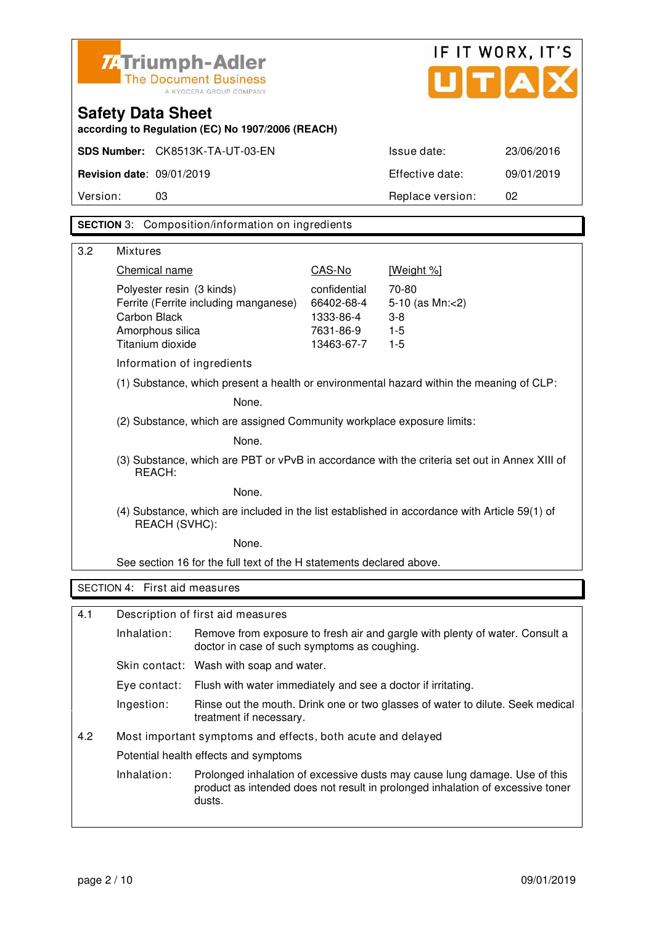| <b>74 Triumph-Adler</b><br><b>The Document Business</b><br>A KYOCERA GROUP COMPANY |                                                                                                         |                                                                                               |                            | UITIA                                                                                                                                                        | IF IT WORX, IT'S |
|------------------------------------------------------------------------------------|---------------------------------------------------------------------------------------------------------|-----------------------------------------------------------------------------------------------|----------------------------|--------------------------------------------------------------------------------------------------------------------------------------------------------------|------------------|
|                                                                                    | <b>Safety Data Sheet</b>                                                                                | according to Regulation (EC) No 1907/2006 (REACH)                                             |                            |                                                                                                                                                              |                  |
|                                                                                    |                                                                                                         | SDS Number: CK8513K-TA-UT-03-EN                                                               |                            | Issue date:                                                                                                                                                  | 23/06/2016       |
|                                                                                    | <b>Revision date: 09/01/2019</b>                                                                        |                                                                                               |                            | Effective date:                                                                                                                                              | 09/01/2019       |
| Version:                                                                           | 03                                                                                                      |                                                                                               |                            | Replace version:                                                                                                                                             | 02               |
|                                                                                    |                                                                                                         | <b>SECTION</b> 3: Composition/information on ingredients                                      |                            |                                                                                                                                                              |                  |
|                                                                                    |                                                                                                         |                                                                                               |                            |                                                                                                                                                              |                  |
| 3.2                                                                                | <b>Mixtures</b>                                                                                         |                                                                                               |                            |                                                                                                                                                              |                  |
|                                                                                    | Chemical name                                                                                           |                                                                                               | CAS-No                     | [Weight %]                                                                                                                                                   |                  |
|                                                                                    | Polyester resin (3 kinds)                                                                               | Ferrite (Ferrite including manganese)                                                         | confidential<br>66402-68-4 | 70-80<br>5-10 (as Mn:<2)                                                                                                                                     |                  |
|                                                                                    | Carbon Black                                                                                            |                                                                                               | 1333-86-4                  | $3 - 8$                                                                                                                                                      |                  |
|                                                                                    | Amorphous silica                                                                                        |                                                                                               | 7631-86-9                  | $1-5$                                                                                                                                                        |                  |
|                                                                                    | Titanium dioxide                                                                                        |                                                                                               | 13463-67-7                 | $1 - 5$                                                                                                                                                      |                  |
|                                                                                    | Information of ingredients                                                                              |                                                                                               |                            |                                                                                                                                                              |                  |
|                                                                                    |                                                                                                         | (1) Substance, which present a health or environmental hazard within the meaning of CLP:      |                            |                                                                                                                                                              |                  |
|                                                                                    | None.                                                                                                   |                                                                                               |                            |                                                                                                                                                              |                  |
|                                                                                    | (2) Substance, which are assigned Community workplace exposure limits:                                  |                                                                                               |                            |                                                                                                                                                              |                  |
|                                                                                    | None.                                                                                                   |                                                                                               |                            |                                                                                                                                                              |                  |
|                                                                                    | (3) Substance, which are PBT or vPvB in accordance with the criteria set out in Annex XIII of<br>REACH: |                                                                                               |                            |                                                                                                                                                              |                  |
|                                                                                    |                                                                                                         | None.                                                                                         |                            |                                                                                                                                                              |                  |
|                                                                                    | REACH (SVHC):                                                                                           | (4) Substance, which are included in the list established in accordance with Article 59(1) of |                            |                                                                                                                                                              |                  |
|                                                                                    |                                                                                                         | None.                                                                                         |                            |                                                                                                                                                              |                  |
|                                                                                    |                                                                                                         | See section 16 for the full text of the H statements declared above.                          |                            |                                                                                                                                                              |                  |
|                                                                                    | SECTION 4: First aid measures                                                                           |                                                                                               |                            |                                                                                                                                                              |                  |
| 4.1                                                                                |                                                                                                         | Description of first aid measures                                                             |                            |                                                                                                                                                              |                  |
|                                                                                    | Inhalation:                                                                                             | doctor in case of such symptoms as coughing.                                                  |                            | Remove from exposure to fresh air and gargle with plenty of water. Consult a                                                                                 |                  |
|                                                                                    |                                                                                                         | Skin contact: Wash with soap and water.                                                       |                            |                                                                                                                                                              |                  |
|                                                                                    | Eye contact:                                                                                            | Flush with water immediately and see a doctor if irritating.                                  |                            |                                                                                                                                                              |                  |
|                                                                                    | Ingestion:                                                                                              | treatment if necessary.                                                                       |                            | Rinse out the mouth. Drink one or two glasses of water to dilute. Seek medical                                                                               |                  |
| 4.2                                                                                |                                                                                                         | Most important symptoms and effects, both acute and delayed                                   |                            |                                                                                                                                                              |                  |
|                                                                                    |                                                                                                         | Potential health effects and symptoms                                                         |                            |                                                                                                                                                              |                  |
|                                                                                    | Inhalation:                                                                                             | dusts.                                                                                        |                            | Prolonged inhalation of excessive dusts may cause lung damage. Use of this<br>product as intended does not result in prolonged inhalation of excessive toner |                  |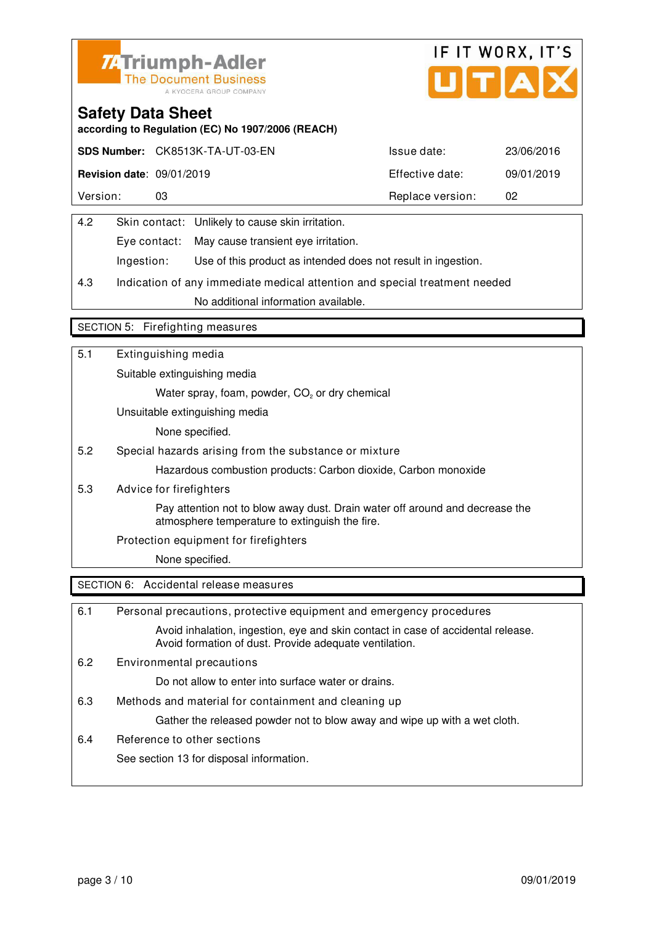



**according to Regulation (EC) No 1907/2006 (REACH)**

|                                  | SDS Number: CK8513K-TA-UT-03-EN | Issue date:      | 23/06/2016 |
|----------------------------------|---------------------------------|------------------|------------|
| <b>Revision date: 09/01/2019</b> |                                 | Effective date:  | 09/01/2019 |
| Version:                         | 03                              | Replace version: | 02         |

| 4.2 |            | Skin contact: Unlikely to cause skin irritation.              |
|-----|------------|---------------------------------------------------------------|
|     |            | Eye contact: May cause transient eye irritation.              |
|     | Ingestion: | Use of this product as intended does not result in ingestion. |

4.3 Indication of any immediate medical attention and special treatment needed No additional information available.

#### SECTION 5: Firefighting measures

| 5.1 | Extinguishing media                                                                                                            |
|-----|--------------------------------------------------------------------------------------------------------------------------------|
|     | Suitable extinguishing media                                                                                                   |
|     | Water spray, foam, powder, CO <sub>2</sub> or dry chemical                                                                     |
|     | Unsuitable extinguishing media                                                                                                 |
|     | None specified.                                                                                                                |
| 5.2 | Special hazards arising from the substance or mixture                                                                          |
|     | Hazardous combustion products: Carbon dioxide, Carbon monoxide                                                                 |
| 5.3 | Advice for firefighters                                                                                                        |
|     | Pay attention not to blow away dust. Drain water off around and decrease the<br>atmosphere temperature to extinguish the fire. |
|     | Protection equipment for firefighters                                                                                          |
|     | None specified.                                                                                                                |
|     | SECTION 6: Accidental release measures                                                                                         |

| 6.1 | Personal precautions, protective equipment and emergency procedures                                                                        |
|-----|--------------------------------------------------------------------------------------------------------------------------------------------|
|     | Avoid inhalation, ingestion, eye and skin contact in case of accidental release.<br>Avoid formation of dust. Provide adequate ventilation. |
| 6.2 | Environmental precautions                                                                                                                  |
|     | Do not allow to enter into surface water or drains.                                                                                        |
| 6.3 | Methods and material for containment and cleaning up                                                                                       |
|     | Gather the released powder not to blow away and wipe up with a wet cloth.                                                                  |
| 6.4 | Reference to other sections                                                                                                                |
|     | See section 13 for disposal information.                                                                                                   |
|     |                                                                                                                                            |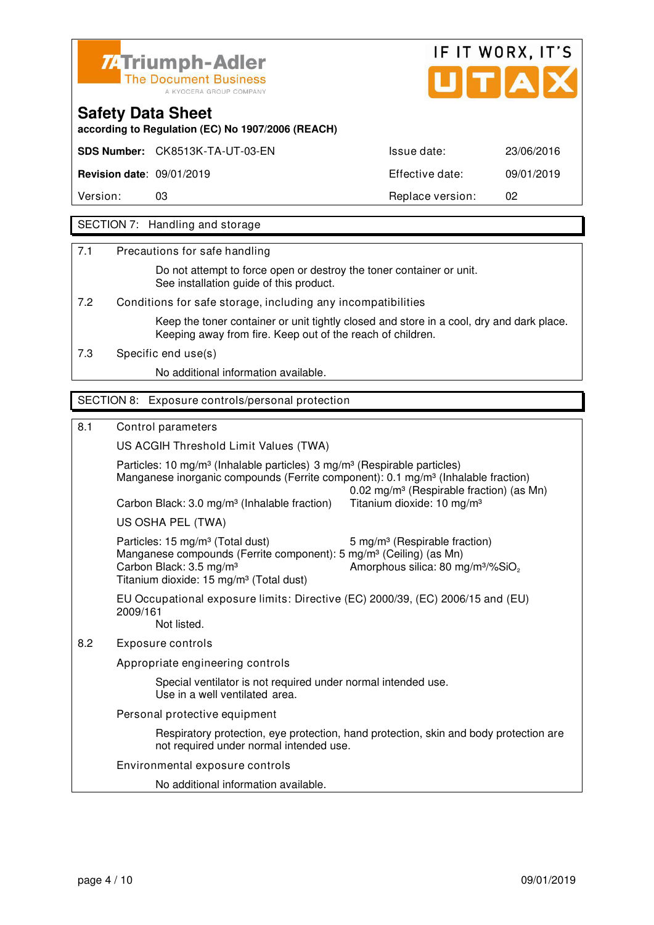



**according to Regulation (EC) No 1907/2006 (REACH)**

**SDS Number:** CK8513K-TA-UT-03-EN Issue date: 23/06/2016

**Revision date**: 09/01/2019 Effective date: 09/01/2019

Version: 03 Replace version: 02

### SECTION 7: Handling and storage

7.1 Precautions for safe handling

 Do not attempt to force open or destroy the toner container or unit. See installation guide of this product.

7.2 Conditions for safe storage, including any incompatibilities

 Keep the toner container or unit tightly closed and store in a cool, dry and dark place. Keeping away from fire. Keep out of the reach of children.

7.3 Specific end use(s)

No additional information available.

#### SECTION 8: Exposure controls/personal protection

8.1 Control parameters

US ACGIH Threshold Limit Values (TWA)

Particles: 10 mg/m<sup>3</sup> (Inhalable particles) 3 mg/m<sup>3</sup> (Respirable particles) Manganese inorganic compounds (Ferrite component): 0.1 mg/m<sup>3</sup> (Inhalable fraction) 0.02 mg/m³ (Respirable fraction) (as Mn) Carbon Black: 3.0 mg/m<sup>3</sup> (Inhalable fraction) Titanium dioxide: 10 mg/m<sup>3</sup> US OSHA PEL (TWA) Particles: 15 mg/m<sup>3</sup> (Total dust) 5 mg/m<sup>3</sup> (Respirable fraction) Manganese compounds (Ferrite component): 5 mg/m<sup>3</sup> (Ceiling) (as Mn) Carbon Black:  $3.5 \text{ mg/m}^3$  Amorphous silica:  $80 \text{ mg/m}^3/\%$ SiO. Titanium dioxide: 15 mg/m<sup>3</sup> (Total dust) EU Occupational exposure limits: Directive (EC) 2000/39, (EC) 2006/15 and (EU) 2009/161 Not listed. 8.2 Exposure controls Appropriate engineering controls Special ventilator is not required under normal intended use. Use in a well ventilated area. Personal protective equipment Respiratory protection, eye protection, hand protection, skin and body protection are not required under normal intended use.

Environmental exposure controls

No additional information available.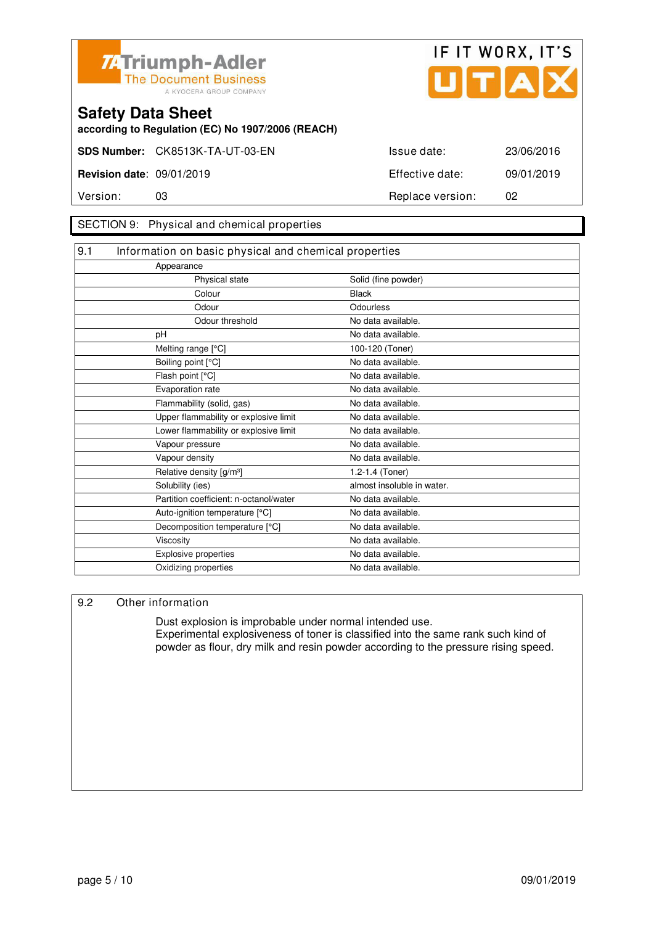



**according to Regulation (EC) No 1907/2006 (REACH)**

#### SECTION 9: Physical and chemical properties

| 9.1 | Information on basic physical and chemical properties |                            |  |
|-----|-------------------------------------------------------|----------------------------|--|
|     | Appearance                                            |                            |  |
|     | Physical state                                        | Solid (fine powder)        |  |
|     | Colour                                                | <b>Black</b>               |  |
|     | Odour                                                 | Odourless                  |  |
|     | Odour threshold                                       | No data available.         |  |
|     | pH                                                    | No data available.         |  |
|     | Melting range [°C]                                    | 100-120 (Toner)            |  |
|     | Boiling point [°C]                                    | No data available.         |  |
|     | Flash point [°C]                                      | No data available.         |  |
|     | Evaporation rate                                      | No data available.         |  |
|     | Flammability (solid, gas)                             | No data available.         |  |
|     | Upper flammability or explosive limit                 | No data available.         |  |
|     | Lower flammability or explosive limit                 | No data available.         |  |
|     | Vapour pressure                                       | No data available.         |  |
|     | Vapour density                                        | No data available.         |  |
|     | Relative density [g/m <sup>3</sup> ]                  | 1.2-1.4 (Toner)            |  |
|     | Solubility (ies)                                      | almost insoluble in water. |  |
|     | Partition coefficient: n-octanol/water                | No data available.         |  |
|     | Auto-ignition temperature [°C]                        | No data available.         |  |
|     | Decomposition temperature [°C]                        | No data available.         |  |
|     | Viscosity                                             | No data available.         |  |
|     | Explosive properties                                  | No data available.         |  |
|     | Oxidizing properties                                  | No data available.         |  |

#### 9.2 Other information

 Dust explosion is improbable under normal intended use. Experimental explosiveness of toner is classified into the same rank such kind of powder as flour, dry milk and resin powder according to the pressure rising speed.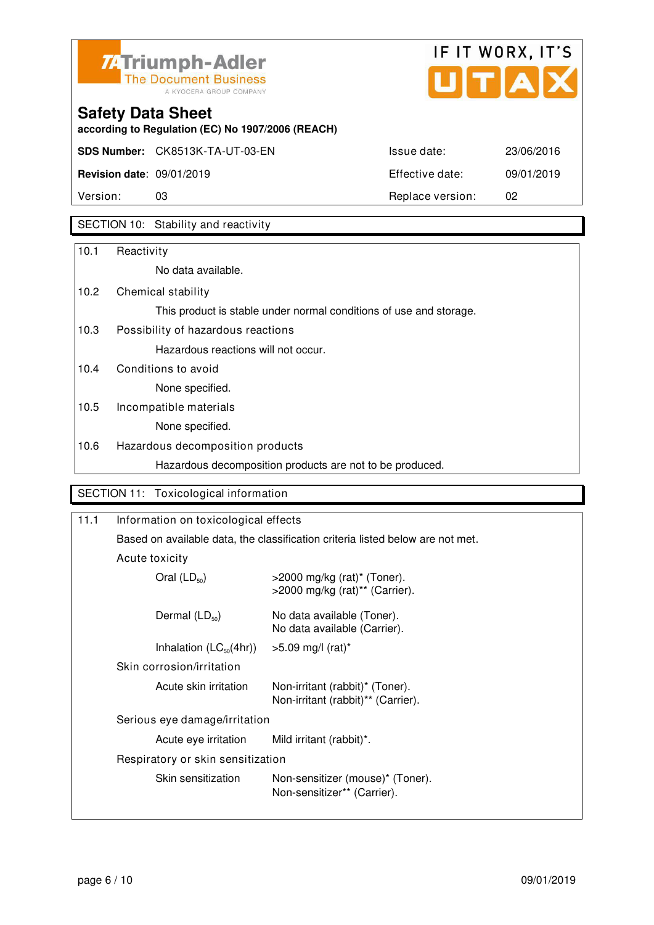



**according to Regulation (EC) No 1907/2006 (REACH)**

| Version:                         | 03                                     | Replace version: | 02         |
|----------------------------------|----------------------------------------|------------------|------------|
| <b>Revision date: 09/01/2019</b> |                                        | Effective date:  | 09/01/2019 |
|                                  | <b>SDS Number:</b> CK8513K-TA-UT-03-EN | Issue date:      | 23/06/2016 |

### SECTION 10: Stability and reactivity

| 10.1 | Reactivity                                                         |
|------|--------------------------------------------------------------------|
|      | No data available.                                                 |
| 10.2 | Chemical stability                                                 |
|      | This product is stable under normal conditions of use and storage. |
| 10.3 | Possibility of hazardous reactions                                 |
|      | Hazardous reactions will not occur.                                |
| 10.4 | Conditions to avoid                                                |
|      | None specified.                                                    |
| 10.5 | Incompatible materials                                             |
|      | None specified.                                                    |
| 10.6 | Hazardous decomposition products                                   |
|      | Hazardous decomposition products are not to be produced.           |
|      |                                                                    |
|      | SECTION 11: Toxicological information                              |

| Information on toxicological effects                                           |                                                                       |  |
|--------------------------------------------------------------------------------|-----------------------------------------------------------------------|--|
| Based on available data, the classification criteria listed below are not met. |                                                                       |  |
| Acute toxicity                                                                 |                                                                       |  |
| Oral $(LD_{50})$                                                               | $>$ 2000 mg/kg (rat)* (Toner).<br>>2000 mg/kg (rat)** (Carrier).      |  |
| Dermal $(LD_{50})$                                                             | No data available (Toner).<br>No data available (Carrier).            |  |
| Inhalation $(LC_{50}(4hr))$                                                    | $>5.09$ mg/l (rat)*                                                   |  |
| Skin corrosion/irritation                                                      |                                                                       |  |
| Acute skin irritation                                                          | Non-irritant (rabbit)* (Toner).<br>Non-irritant (rabbit)** (Carrier). |  |
| Serious eye damage/irritation                                                  |                                                                       |  |
| Acute eye irritation                                                           | Mild irritant (rabbit)*.                                              |  |
| Respiratory or skin sensitization                                              |                                                                       |  |
| Skin sensitization                                                             | Non-sensitizer (mouse)* (Toner).<br>Non-sensitizer** (Carrier).       |  |
|                                                                                |                                                                       |  |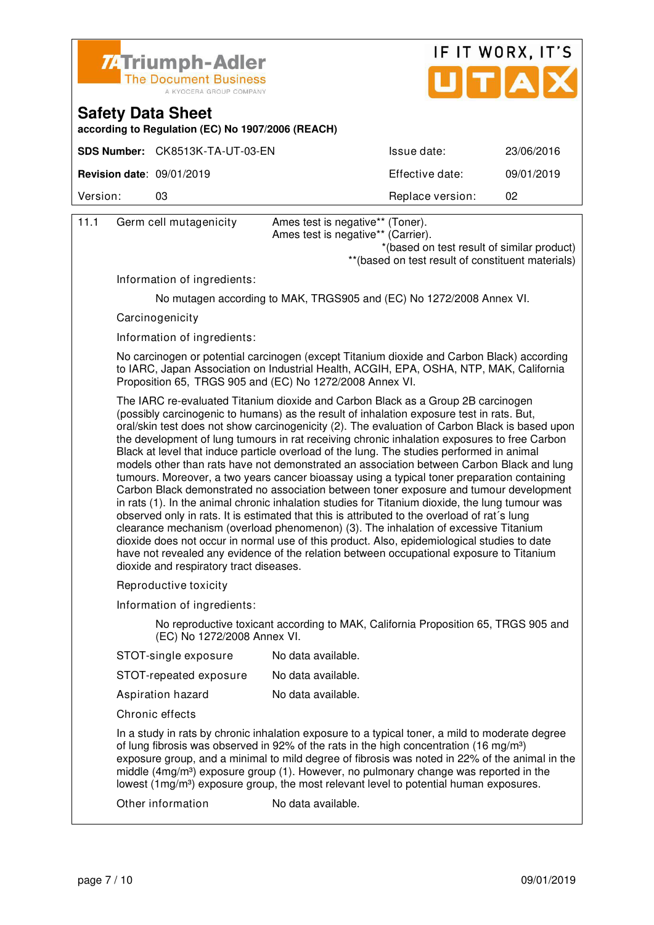



**according to Regulation (EC) No 1907/2006 (REACH)**

|                                  | SDS Number: CK8513K-TA-UT-03-EN | Issue date:      | 23/06/2016 |
|----------------------------------|---------------------------------|------------------|------------|
| <b>Revision date: 09/01/2019</b> |                                 | Effective date:  | 09/01/2019 |
| Version:                         | 03                              | Replace version: | 02         |

| 11.1 | Germ cell mutagenicity                                   | Ames test is negative** (Toner).<br>Ames test is negative** (Carrier).<br>*(based on test result of similar product)<br>** (based on test result of constituent materials)                                                                                                                                                                                                                                                                                                                                                                                                                                                                                                                                                                                                                                                                                                                                                                                                                                                                                                                                                                                                                                                                              |  |  |  |
|------|----------------------------------------------------------|---------------------------------------------------------------------------------------------------------------------------------------------------------------------------------------------------------------------------------------------------------------------------------------------------------------------------------------------------------------------------------------------------------------------------------------------------------------------------------------------------------------------------------------------------------------------------------------------------------------------------------------------------------------------------------------------------------------------------------------------------------------------------------------------------------------------------------------------------------------------------------------------------------------------------------------------------------------------------------------------------------------------------------------------------------------------------------------------------------------------------------------------------------------------------------------------------------------------------------------------------------|--|--|--|
|      | Information of ingredients:                              |                                                                                                                                                                                                                                                                                                                                                                                                                                                                                                                                                                                                                                                                                                                                                                                                                                                                                                                                                                                                                                                                                                                                                                                                                                                         |  |  |  |
|      |                                                          | No mutagen according to MAK, TRGS905 and (EC) No 1272/2008 Annex VI.                                                                                                                                                                                                                                                                                                                                                                                                                                                                                                                                                                                                                                                                                                                                                                                                                                                                                                                                                                                                                                                                                                                                                                                    |  |  |  |
|      | Carcinogenicity                                          |                                                                                                                                                                                                                                                                                                                                                                                                                                                                                                                                                                                                                                                                                                                                                                                                                                                                                                                                                                                                                                                                                                                                                                                                                                                         |  |  |  |
|      | Information of ingredients:                              |                                                                                                                                                                                                                                                                                                                                                                                                                                                                                                                                                                                                                                                                                                                                                                                                                                                                                                                                                                                                                                                                                                                                                                                                                                                         |  |  |  |
|      | Proposition 65, TRGS 905 and (EC) No 1272/2008 Annex VI. | No carcinogen or potential carcinogen (except Titanium dioxide and Carbon Black) according<br>to IARC, Japan Association on Industrial Health, ACGIH, EPA, OSHA, NTP, MAK, California                                                                                                                                                                                                                                                                                                                                                                                                                                                                                                                                                                                                                                                                                                                                                                                                                                                                                                                                                                                                                                                                   |  |  |  |
|      | dioxide and respiratory tract diseases.                  | The IARC re-evaluated Titanium dioxide and Carbon Black as a Group 2B carcinogen<br>(possibly carcinogenic to humans) as the result of inhalation exposure test in rats. But,<br>oral/skin test does not show carcinogenicity (2). The evaluation of Carbon Black is based upon<br>the development of lung tumours in rat receiving chronic inhalation exposures to free Carbon<br>Black at level that induce particle overload of the lung. The studies performed in animal<br>models other than rats have not demonstrated an association between Carbon Black and lung<br>tumours. Moreover, a two years cancer bioassay using a typical toner preparation containing<br>Carbon Black demonstrated no association between toner exposure and tumour development<br>in rats (1). In the animal chronic inhalation studies for Titanium dioxide, the lung tumour was<br>observed only in rats. It is estimated that this is attributed to the overload of rat's lung<br>clearance mechanism (overload phenomenon) (3). The inhalation of excessive Titanium<br>dioxide does not occur in normal use of this product. Also, epidemiological studies to date<br>have not revealed any evidence of the relation between occupational exposure to Titanium |  |  |  |
|      | Reproductive toxicity                                    |                                                                                                                                                                                                                                                                                                                                                                                                                                                                                                                                                                                                                                                                                                                                                                                                                                                                                                                                                                                                                                                                                                                                                                                                                                                         |  |  |  |
|      | Information of ingredients:                              |                                                                                                                                                                                                                                                                                                                                                                                                                                                                                                                                                                                                                                                                                                                                                                                                                                                                                                                                                                                                                                                                                                                                                                                                                                                         |  |  |  |
|      | (EC) No 1272/2008 Annex VI.                              | No reproductive toxicant according to MAK, California Proposition 65, TRGS 905 and                                                                                                                                                                                                                                                                                                                                                                                                                                                                                                                                                                                                                                                                                                                                                                                                                                                                                                                                                                                                                                                                                                                                                                      |  |  |  |
|      | STOT-single exposure                                     | No data available.                                                                                                                                                                                                                                                                                                                                                                                                                                                                                                                                                                                                                                                                                                                                                                                                                                                                                                                                                                                                                                                                                                                                                                                                                                      |  |  |  |
|      | STOT-repeated exposure                                   | No data available.                                                                                                                                                                                                                                                                                                                                                                                                                                                                                                                                                                                                                                                                                                                                                                                                                                                                                                                                                                                                                                                                                                                                                                                                                                      |  |  |  |
|      | Aspiration hazard                                        | No data available.                                                                                                                                                                                                                                                                                                                                                                                                                                                                                                                                                                                                                                                                                                                                                                                                                                                                                                                                                                                                                                                                                                                                                                                                                                      |  |  |  |
|      | Chronic effects                                          |                                                                                                                                                                                                                                                                                                                                                                                                                                                                                                                                                                                                                                                                                                                                                                                                                                                                                                                                                                                                                                                                                                                                                                                                                                                         |  |  |  |

 In a study in rats by chronic inhalation exposure to a typical toner, a mild to moderate degree of lung fibrosis was observed in 92% of the rats in the high concentration (16 mg/m<sup>3</sup>) exposure group, and a minimal to mild degree of fibrosis was noted in 22% of the animal in the middle (4mg/m<sup>3</sup>) exposure group (1). However, no pulmonary change was reported in the lowest (1mg/m<sup>3</sup>) exposure group, the most relevant level to potential human exposures.

Other information No data available.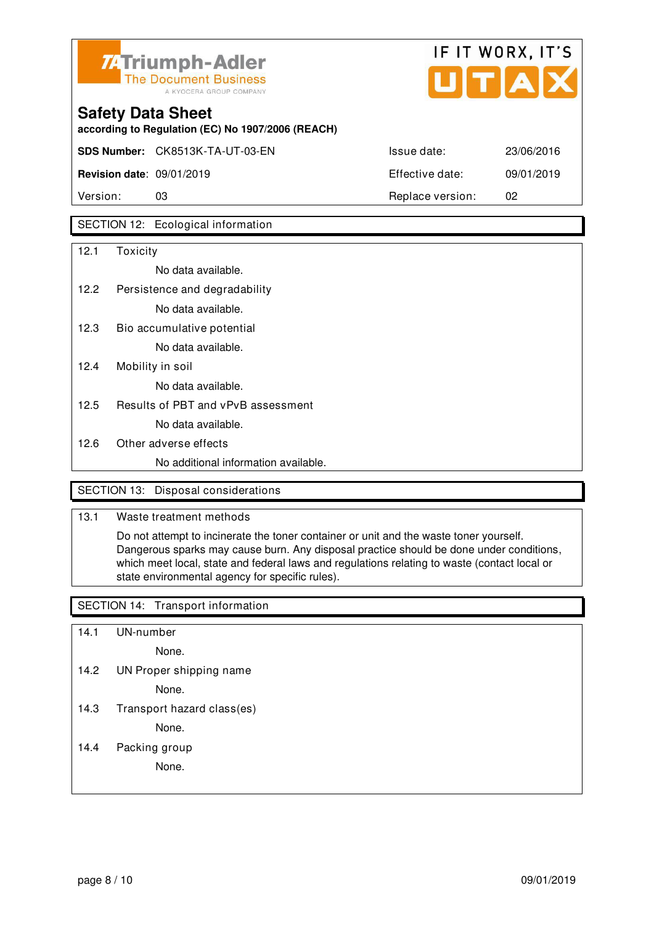



**according to Regulation (EC) No 1907/2006 (REACH)**

**SDS Number:** CK8513K-TA-UT-03-EN Issue date: 23/06/2016

**Revision date**: 09/01/2019 Effective date: 09/01/2019

Version: 03 Replace version: 02

### SECTION 12: Ecological information

| 12.1 | Toxicity                             |
|------|--------------------------------------|
|      | No data available.                   |
| 12.2 | Persistence and degradability        |
|      | No data available.                   |
| 12.3 | Bio accumulative potential           |
|      | No data available.                   |
| 12.4 | Mobility in soil                     |
|      | No data available.                   |
| 12.5 | Results of PBT and vPvB assessment   |
|      | No data available.                   |
| 12.6 | Other adverse effects                |
|      | No additional information available. |

### SECTION 13: Disposal considerations

### 13.1 Waste treatment methods

 Do not attempt to incinerate the toner container or unit and the waste toner yourself. Dangerous sparks may cause burn. Any disposal practice should be done under conditions, which meet local, state and federal laws and regulations relating to waste (contact local or state environmental agency for specific rules).

### SECTION 14: Transport information

- 14.1 UN-number
	- None.
- 14.2 UN Proper shipping name

None.

14.3 Transport hazard class(es)

None.

14.4 Packing group

None.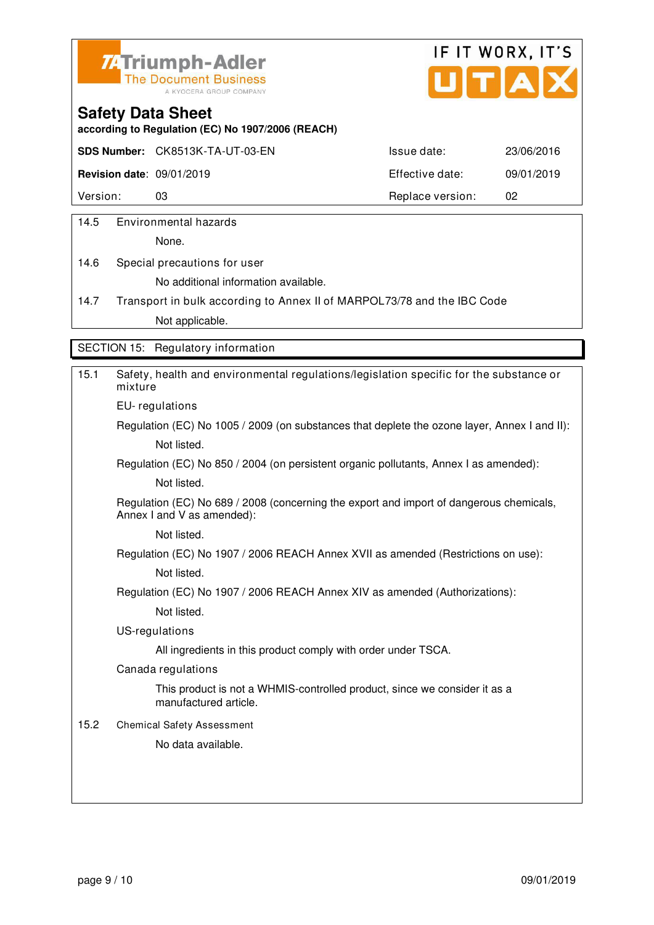



**according to Regulation (EC) No 1907/2006 (REACH)**

**SDS Number:** CK8513K-TA-UT-03-EN Issue date: 23/06/2016

**Revision date**: 09/01/2019 Effective date: 09/01/2019

Version: 03 03 Replace version: 02

14.5 Environmental hazards

None.

14.6 Special precautions for user No additional information available.

14.7 Transport in bulk according to Annex II of MARPOL73/78 and the IBC Code Not applicable.

SECTION 15: Regulatory information

| 15.1 | Safety, health and environmental regulations/legislation specific for the substance or<br>mixture                     |
|------|-----------------------------------------------------------------------------------------------------------------------|
|      | EU-regulations                                                                                                        |
|      | Regulation (EC) No 1005 / 2009 (on substances that deplete the ozone layer, Annex I and II):                          |
|      | Not listed.                                                                                                           |
|      | Regulation (EC) No 850 / 2004 (on persistent organic pollutants, Annex I as amended):                                 |
|      | Not listed.                                                                                                           |
|      | Regulation (EC) No 689 / 2008 (concerning the export and import of dangerous chemicals,<br>Annex I and V as amended): |
|      | Not listed.                                                                                                           |
|      | Regulation (EC) No 1907 / 2006 REACH Annex XVII as amended (Restrictions on use):                                     |
|      | Not listed.                                                                                                           |
|      | Regulation (EC) No 1907 / 2006 REACH Annex XIV as amended (Authorizations):                                           |
|      | Not listed.                                                                                                           |
|      | US-regulations                                                                                                        |
|      | All ingredients in this product comply with order under TSCA.                                                         |
|      | Canada regulations                                                                                                    |
|      | This product is not a WHMIS-controlled product, since we consider it as a<br>manufactured article.                    |
| 15.2 | <b>Chemical Safety Assessment</b>                                                                                     |
|      | No data available.                                                                                                    |
|      |                                                                                                                       |
|      |                                                                                                                       |
|      |                                                                                                                       |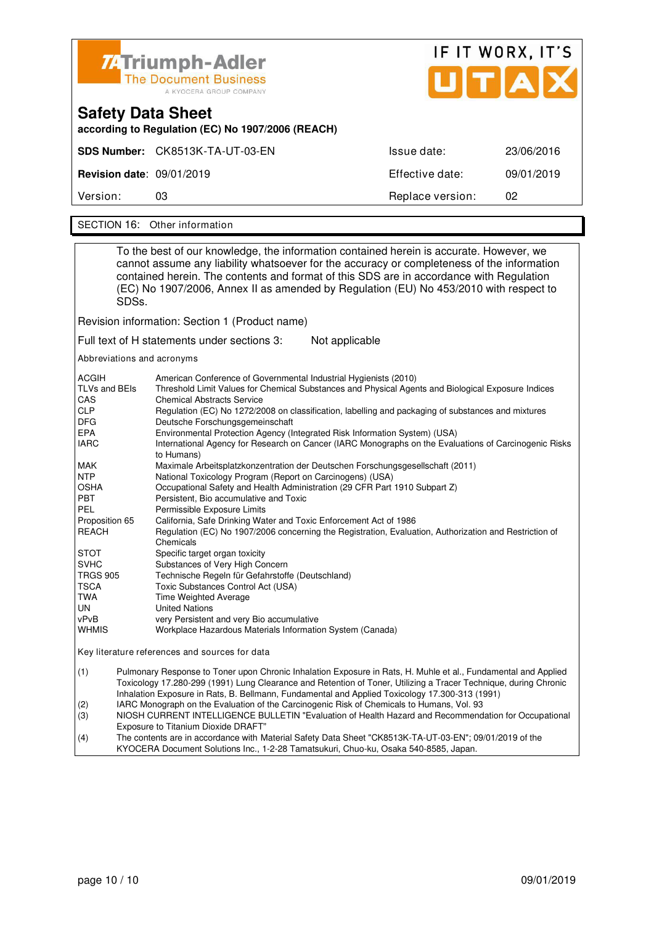|                                                                               | <b>74Triumph-Adler</b><br>The Document Business<br>A KYOCERA GROUP COMPANY | UTAX             | IF IT WORX, IT'S |  |
|-------------------------------------------------------------------------------|----------------------------------------------------------------------------|------------------|------------------|--|
| <b>Safety Data Sheet</b><br>according to Regulation (EC) No 1907/2006 (REACH) |                                                                            |                  |                  |  |
|                                                                               | SDS Number: CK8513K-TA-UT-03-EN                                            | Issue date:      | 23/06/2016       |  |
| <b>Revision date: 09/01/2019</b>                                              |                                                                            | Effective date:  | 09/01/2019       |  |
| Version:                                                                      | 03                                                                         | Replace version: | 02               |  |

SECTION 16: Other information

| To the best of our knowledge, the information contained herein is accurate. However, we<br>cannot assume any liability whatsoever for the accuracy or completeness of the information<br>contained herein. The contents and format of this SDS are in accordance with Regulation<br>(EC) No 1907/2006, Annex II as amended by Regulation (EU) No 453/2010 with respect to<br>SDSs.                                                                                                                                                                                                                                                                                                                                                                                                                                                                                                                                                                                                                                                                                                                                                                                                                                                                                                                                                                                                                                                                                                                                                                                                                                                                                                        |                                                                                                                                                                                                                                                                                                                                                                                                                                                                                                                                                                                                                                                                                             |  |  |
|-------------------------------------------------------------------------------------------------------------------------------------------------------------------------------------------------------------------------------------------------------------------------------------------------------------------------------------------------------------------------------------------------------------------------------------------------------------------------------------------------------------------------------------------------------------------------------------------------------------------------------------------------------------------------------------------------------------------------------------------------------------------------------------------------------------------------------------------------------------------------------------------------------------------------------------------------------------------------------------------------------------------------------------------------------------------------------------------------------------------------------------------------------------------------------------------------------------------------------------------------------------------------------------------------------------------------------------------------------------------------------------------------------------------------------------------------------------------------------------------------------------------------------------------------------------------------------------------------------------------------------------------------------------------------------------------|---------------------------------------------------------------------------------------------------------------------------------------------------------------------------------------------------------------------------------------------------------------------------------------------------------------------------------------------------------------------------------------------------------------------------------------------------------------------------------------------------------------------------------------------------------------------------------------------------------------------------------------------------------------------------------------------|--|--|
|                                                                                                                                                                                                                                                                                                                                                                                                                                                                                                                                                                                                                                                                                                                                                                                                                                                                                                                                                                                                                                                                                                                                                                                                                                                                                                                                                                                                                                                                                                                                                                                                                                                                                           | Revision information: Section 1 (Product name)                                                                                                                                                                                                                                                                                                                                                                                                                                                                                                                                                                                                                                              |  |  |
|                                                                                                                                                                                                                                                                                                                                                                                                                                                                                                                                                                                                                                                                                                                                                                                                                                                                                                                                                                                                                                                                                                                                                                                                                                                                                                                                                                                                                                                                                                                                                                                                                                                                                           | Full text of H statements under sections 3:<br>Not applicable                                                                                                                                                                                                                                                                                                                                                                                                                                                                                                                                                                                                                               |  |  |
|                                                                                                                                                                                                                                                                                                                                                                                                                                                                                                                                                                                                                                                                                                                                                                                                                                                                                                                                                                                                                                                                                                                                                                                                                                                                                                                                                                                                                                                                                                                                                                                                                                                                                           |                                                                                                                                                                                                                                                                                                                                                                                                                                                                                                                                                                                                                                                                                             |  |  |
| Abbreviations and acronyms<br>ACGIH<br>American Conference of Governmental Industrial Hygienists (2010)<br>TLVs and BEIs<br>Threshold Limit Values for Chemical Substances and Physical Agents and Biological Exposure Indices<br>CAS<br><b>Chemical Abstracts Service</b><br><b>CLP</b><br>Regulation (EC) No 1272/2008 on classification, labelling and packaging of substances and mixtures<br><b>DFG</b><br>Deutsche Forschungsgemeinschaft<br>EPA<br>Environmental Protection Agency (Integrated Risk Information System) (USA)<br><b>IARC</b><br>International Agency for Research on Cancer (IARC Monographs on the Evaluations of Carcinogenic Risks<br>to Humans)<br>MAK<br>Maximale Arbeitsplatzkonzentration der Deutschen Forschungsgesellschaft (2011)<br><b>NTP</b><br>National Toxicology Program (Report on Carcinogens) (USA)<br>OSHA<br>Occupational Safety and Health Administration (29 CFR Part 1910 Subpart Z)<br><b>PBT</b><br>Persistent, Bio accumulative and Toxic<br><b>PEL</b><br>Permissible Exposure Limits<br>Proposition 65<br>California, Safe Drinking Water and Toxic Enforcement Act of 1986<br><b>REACH</b><br>Regulation (EC) No 1907/2006 concerning the Registration, Evaluation, Authorization and Restriction of<br>Chemicals<br>STOT<br>Specific target organ toxicity<br><b>SVHC</b><br>Substances of Very High Concern<br><b>TRGS 905</b><br>Technische Regeln für Gefahrstoffe (Deutschland)<br>TSCA<br>Toxic Substances Control Act (USA)<br>TWA<br>Time Weighted Average<br>UN<br><b>United Nations</b><br>vPvB<br>very Persistent and very Bio accumulative<br><b>WHMIS</b><br>Workplace Hazardous Materials Information System (Canada) |                                                                                                                                                                                                                                                                                                                                                                                                                                                                                                                                                                                                                                                                                             |  |  |
| Key literature references and sources for data                                                                                                                                                                                                                                                                                                                                                                                                                                                                                                                                                                                                                                                                                                                                                                                                                                                                                                                                                                                                                                                                                                                                                                                                                                                                                                                                                                                                                                                                                                                                                                                                                                            |                                                                                                                                                                                                                                                                                                                                                                                                                                                                                                                                                                                                                                                                                             |  |  |
| (1)<br>(2)<br>(3)<br>(4)                                                                                                                                                                                                                                                                                                                                                                                                                                                                                                                                                                                                                                                                                                                                                                                                                                                                                                                                                                                                                                                                                                                                                                                                                                                                                                                                                                                                                                                                                                                                                                                                                                                                  | Pulmonary Response to Toner upon Chronic Inhalation Exposure in Rats, H. Muhle et al., Fundamental and Applied<br>Toxicology 17.280-299 (1991) Lung Clearance and Retention of Toner, Utilizing a Tracer Technique, during Chronic<br>Inhalation Exposure in Rats, B. Bellmann, Fundamental and Applied Toxicology 17.300-313 (1991)<br>IARC Monograph on the Evaluation of the Carcinogenic Risk of Chemicals to Humans, Vol. 93<br>NIOSH CURRENT INTELLIGENCE BULLETIN "Evaluation of Health Hazard and Recommendation for Occupational<br>Exposure to Titanium Dioxide DRAFT"<br>The contents are in accordance with Material Safety Data Sheet "CK8513K-TA-UT-03-EN"; 09/01/2019 of the |  |  |

٦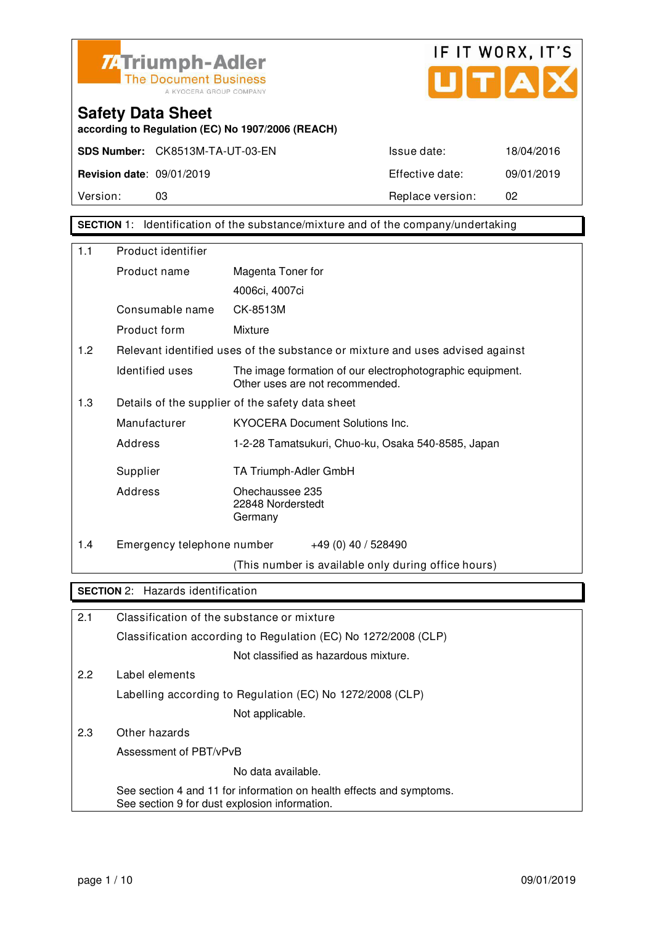

**according to Regulation (EC) No 1907/2006 (REACH)**



**Safety Data Sheet** 

Version: 03 03 Replace version: 02

**SECTION** 1: Identification of the substance/mixture and of the company/undertaking

| 1.1               | Product identifier         |                                                                                                                       |
|-------------------|----------------------------|-----------------------------------------------------------------------------------------------------------------------|
|                   | Product name               | Magenta Toner for                                                                                                     |
|                   |                            | 4006ci, 4007ci                                                                                                        |
|                   | Consumable name            | CK-8513M                                                                                                              |
|                   | Product form               | Mixture                                                                                                               |
| 1.2               |                            | Relevant identified uses of the substance or mixture and uses advised against                                         |
|                   | Identified uses            | The image formation of our electrophotographic equipment.<br>Other uses are not recommended.                          |
| 1.3               |                            | Details of the supplier of the safety data sheet                                                                      |
|                   | Manufacturer               | <b>KYOCERA Document Solutions Inc.</b>                                                                                |
|                   | Address                    | 1-2-28 Tamatsukuri, Chuo-ku, Osaka 540-8585, Japan                                                                    |
|                   | Supplier                   | TA Triumph-Adler GmbH                                                                                                 |
|                   | Address                    | Ohechaussee 235<br>22848 Norderstedt<br>Germany                                                                       |
| 1.4               | Emergency telephone number | $+49(0)$ 40 / 528490                                                                                                  |
|                   |                            | (This number is available only during office hours)                                                                   |
| <b>SECTION 2:</b> | Hazards identification     |                                                                                                                       |
| 2.1               |                            | Classification of the substance or mixture                                                                            |
|                   |                            | Classification according to Regulation (EC) No 1272/2008 (CLP)                                                        |
|                   |                            | Not classified as hazardous mixture.                                                                                  |
| 2.2               | Label elements             |                                                                                                                       |
|                   |                            | Labelling according to Regulation (EC) No 1272/2008 (CLP)                                                             |
|                   |                            | Not applicable.                                                                                                       |
| 2.3               | Other hazards              |                                                                                                                       |
|                   | Assessment of PBT/vPvB     |                                                                                                                       |
|                   |                            | No data available.                                                                                                    |
|                   |                            | See section 4 and 11 for information on health effects and symptoms.<br>See section 9 for dust explosion information. |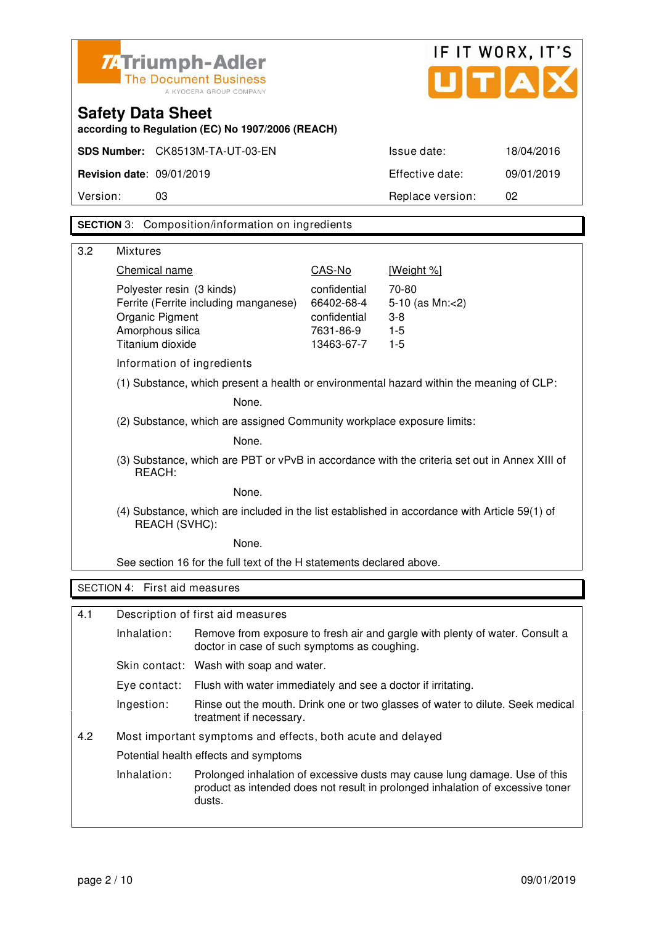|                                                                                                                |                                      | <b>74 Triumph-Adler</b><br><b>The Document Business</b><br>A KYOCERA GROUP COMPANY       |                         | IF IT WORX, IT'S<br>U[T[A])                                                                                                                                  |            |
|----------------------------------------------------------------------------------------------------------------|--------------------------------------|------------------------------------------------------------------------------------------|-------------------------|--------------------------------------------------------------------------------------------------------------------------------------------------------------|------------|
|                                                                                                                | <b>Safety Data Sheet</b>             | according to Regulation (EC) No 1907/2006 (REACH)                                        |                         |                                                                                                                                                              |            |
|                                                                                                                |                                      | SDS Number: CK8513M-TA-UT-03-EN                                                          |                         | Issue date:                                                                                                                                                  | 18/04/2016 |
|                                                                                                                | <b>Revision date: 09/01/2019</b>     |                                                                                          |                         | Effective date:                                                                                                                                              | 09/01/2019 |
| Version:                                                                                                       | 03                                   |                                                                                          |                         | Replace version:                                                                                                                                             | 02         |
|                                                                                                                |                                      | <b>SECTION</b> 3: Composition/information on ingredients                                 |                         |                                                                                                                                                              |            |
|                                                                                                                |                                      |                                                                                          |                         |                                                                                                                                                              |            |
| 3.2                                                                                                            | <b>Mixtures</b><br>Chemical name     |                                                                                          | CAS-No                  | [Weight %]                                                                                                                                                   |            |
|                                                                                                                | Polyester resin (3 kinds)            |                                                                                          | confidential            | 70-80                                                                                                                                                        |            |
|                                                                                                                |                                      | Ferrite (Ferrite including manganese)                                                    | 66402-68-4              | 5-10 (as Mn:<2)                                                                                                                                              |            |
|                                                                                                                | Organic Pigment                      |                                                                                          | confidential            | $3 - 8$                                                                                                                                                      |            |
|                                                                                                                | Amorphous silica<br>Titanium dioxide |                                                                                          | 7631-86-9<br>13463-67-7 | $1 - 5$<br>$1-5$                                                                                                                                             |            |
|                                                                                                                | Information of ingredients           |                                                                                          |                         |                                                                                                                                                              |            |
|                                                                                                                |                                      | (1) Substance, which present a health or environmental hazard within the meaning of CLP: |                         |                                                                                                                                                              |            |
|                                                                                                                |                                      | None.                                                                                    |                         |                                                                                                                                                              |            |
| (2) Substance, which are assigned Community workplace exposure limits:                                         |                                      |                                                                                          |                         |                                                                                                                                                              |            |
| None.                                                                                                          |                                      |                                                                                          |                         |                                                                                                                                                              |            |
| (3) Substance, which are PBT or vPvB in accordance with the criteria set out in Annex XIII of<br>REACH:        |                                      |                                                                                          |                         |                                                                                                                                                              |            |
| None.                                                                                                          |                                      |                                                                                          |                         |                                                                                                                                                              |            |
| (4) Substance, which are included in the list established in accordance with Article 59(1) of<br>REACH (SVHC): |                                      |                                                                                          |                         |                                                                                                                                                              |            |
|                                                                                                                |                                      | None.                                                                                    |                         |                                                                                                                                                              |            |
|                                                                                                                |                                      | See section 16 for the full text of the H statements declared above.                     |                         |                                                                                                                                                              |            |
|                                                                                                                | SECTION 4: First aid measures        |                                                                                          |                         |                                                                                                                                                              |            |
| 4.1                                                                                                            |                                      | Description of first aid measures                                                        |                         |                                                                                                                                                              |            |
|                                                                                                                | Inhalation:                          | doctor in case of such symptoms as coughing.                                             |                         | Remove from exposure to fresh air and gargle with plenty of water. Consult a                                                                                 |            |
|                                                                                                                |                                      | Skin contact: Wash with soap and water.                                                  |                         |                                                                                                                                                              |            |
|                                                                                                                | Eye contact:                         | Flush with water immediately and see a doctor if irritating.                             |                         |                                                                                                                                                              |            |
|                                                                                                                | Ingestion:                           | treatment if necessary.                                                                  |                         | Rinse out the mouth. Drink one or two glasses of water to dilute. Seek medical                                                                               |            |
| 4.2                                                                                                            |                                      | Most important symptoms and effects, both acute and delayed                              |                         |                                                                                                                                                              |            |
|                                                                                                                |                                      | Potential health effects and symptoms                                                    |                         |                                                                                                                                                              |            |
|                                                                                                                | Inhalation:                          | dusts.                                                                                   |                         | Prolonged inhalation of excessive dusts may cause lung damage. Use of this<br>product as intended does not result in prolonged inhalation of excessive toner |            |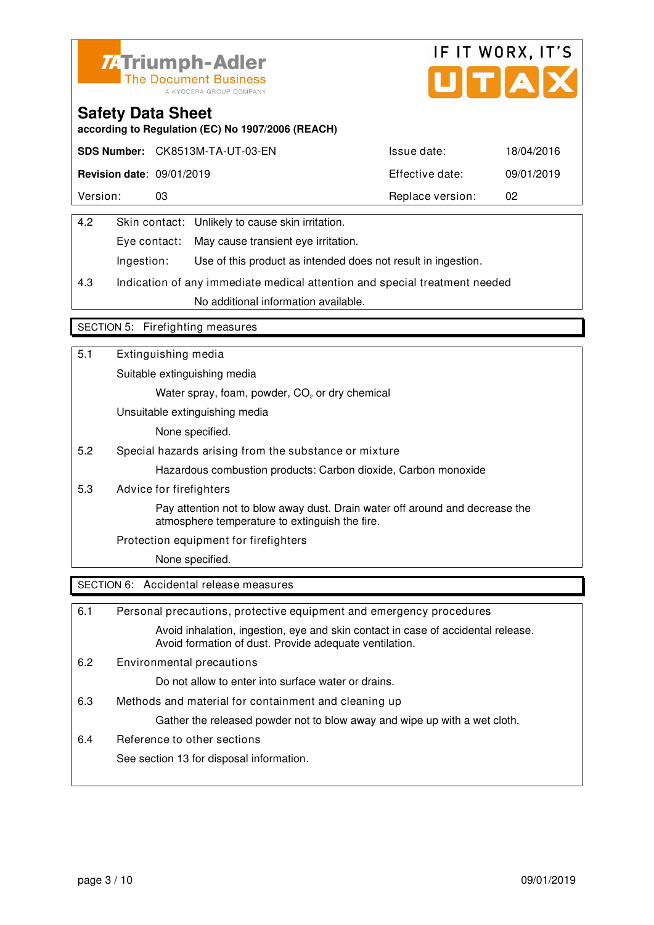



ingestion.

## **Safety Data Sheet**

**according to Regulation (EC) No 1907/2006 (REACH)**

|                                  | SDS Number: CK8513M-TA-UT-03-EN | Issue date:      | 18/04/2016 |
|----------------------------------|---------------------------------|------------------|------------|
| <b>Revision date: 09/01/2019</b> |                                 | Effective date:  | 09/01/2019 |
| Version:                         |                                 | Replace version: | 02         |

| 4.2 |            | Skin contact: Unlikely to cause skin irritation.   |
|-----|------------|----------------------------------------------------|
|     |            | Eye contact: May cause transient eye irritation.   |
|     | Ingestion: | Use of this product as intended does not result in |

4.3 Indication of any immediate medical attention and special treatment needed No additional information available.

#### SECTION 5: Firefighting measures

| 5.1 | Extinguishing media                                                                                                            |
|-----|--------------------------------------------------------------------------------------------------------------------------------|
|     | Suitable extinguishing media                                                                                                   |
|     | Water spray, foam, powder, CO <sub>2</sub> or dry chemical                                                                     |
|     | Unsuitable extinguishing media                                                                                                 |
|     | None specified.                                                                                                                |
| 5.2 | Special hazards arising from the substance or mixture                                                                          |
|     | Hazardous combustion products: Carbon dioxide, Carbon monoxide                                                                 |
| 5.3 | Advice for firefighters                                                                                                        |
|     | Pay attention not to blow away dust. Drain water off around and decrease the<br>atmosphere temperature to extinguish the fire. |
|     | Protection equipment for firefighters                                                                                          |
|     | None specified.                                                                                                                |
|     | SECTION 6: Accidental release measures                                                                                         |

6.1 Personal precautions, protective equipment and emergency procedures Avoid inhalation, ingestion, eye and skin contact in case of accidental release. Avoid formation of dust. Provide adequate ventilation. 6.2 Environmental precautions Do not allow to enter into surface water or drains. 6.3 Methods and material for containment and cleaning up Gather the released powder not to blow away and wipe up with a wet cloth. 6.4 Reference to other sections See section 13 for disposal information.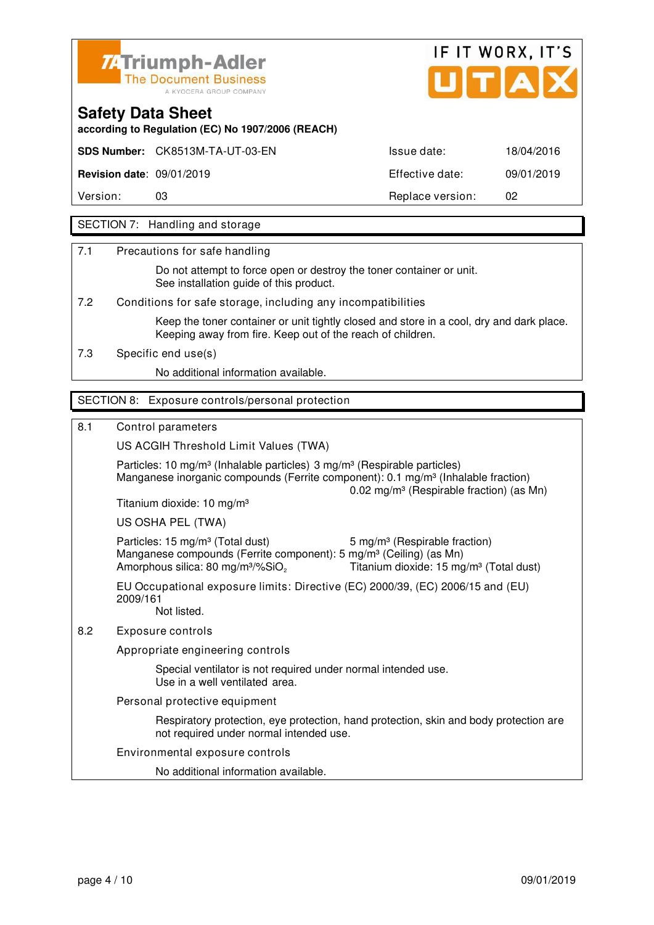



**according to Regulation (EC) No 1907/2006 (REACH)**

**SDS Number:** CK8513M-TA-UT-03-EN ISSUE date: 18/04/2016

**Revision date**: 09/01/2019 Effective date: 09/01/2019

Version: 03 03 Replace version: 02

### SECTION 7: Handling and storage

7.1 Precautions for safe handling

 Do not attempt to force open or destroy the toner container or unit. See installation guide of this product.

7.2 Conditions for safe storage, including any incompatibilities

 Keep the toner container or unit tightly closed and store in a cool, dry and dark place. Keeping away from fire. Keep out of the reach of children.

7.3 Specific end use(s)

No additional information available.

#### SECTION 8: Exposure controls/personal protection

#### 8.1 Control parameters

US ACGIH Threshold Limit Values (TWA)

Particles: 10 mg/m<sup>3</sup> (Inhalable particles) 3 mg/m<sup>3</sup> (Respirable particles) Manganese inorganic compounds (Ferrite component):  $0.1 \text{ ma/m}^3$  (Inhalable fraction) 0.02 mg/m³ (Respirable fraction) (as Mn) Titanium dioxide: 10 mg/m³ US OSHA PEL (TWA) Particles: 15 mg/m<sup>3</sup> (Total dust) 5 mg/m<sup>3</sup> (Respirable fraction)

Manganese compounds (Ferrite component): 5 mg/m<sup>3</sup> (Ceiling) (as Mn) Amorphous silica: 80 mg/m<sup>3</sup>/%SiO<sub>2</sub> Titanium dioxide: 15 mg/m<sup>3</sup> (Total dust)

EU Occupational exposure limits: Directive (EC) 2000/39, (EC) 2006/15 and (EU) 2009/161 Not listed.

8.2 Exposure controls

Appropriate engineering controls

 Special ventilator is not required under normal intended use. Use in a well ventilated area.

Personal protective equipment

 Respiratory protection, eye protection, hand protection, skin and body protection are not required under normal intended use.

Environmental exposure controls

No additional information available.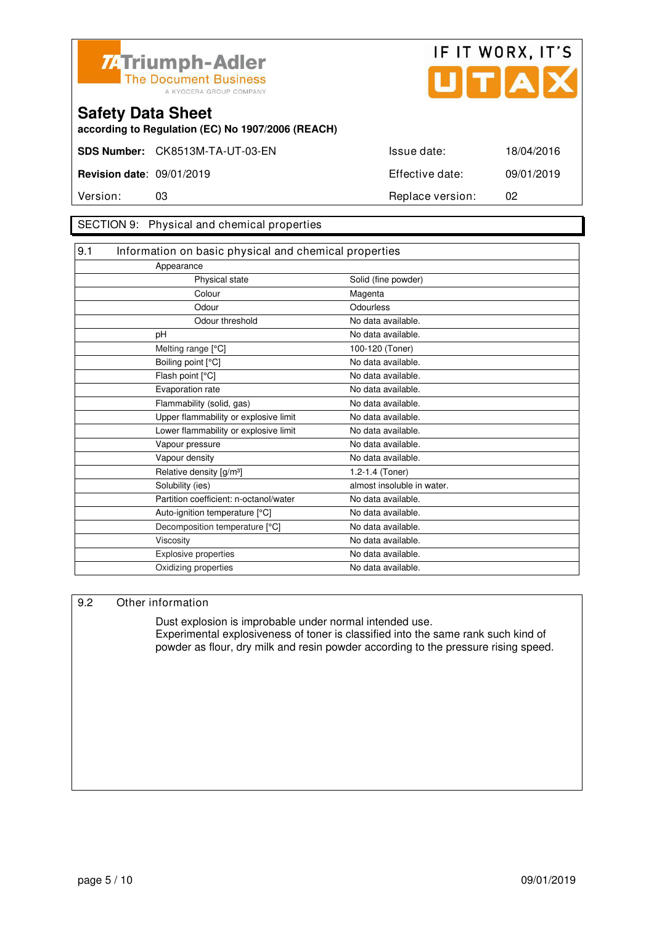![](_page_24_Picture_0.jpeg)

![](_page_24_Picture_1.jpeg)

**according to Regulation (EC) No 1907/2006 (REACH)**

#### SECTION 9: Physical and chemical properties

| Appearance                             |                                                       |
|----------------------------------------|-------------------------------------------------------|
| Physical state                         | Solid (fine powder)                                   |
| Colour                                 | Magenta                                               |
| Odour                                  | Odourless                                             |
| Odour threshold                        | No data available.                                    |
|                                        | No data available.                                    |
| Melting range [°C]                     | 100-120 (Toner)                                       |
| Boiling point [°C]                     | No data available.                                    |
| Flash point [°C]                       | No data available.                                    |
| Evaporation rate                       | No data available.                                    |
| Flammability (solid, gas)              | No data available.                                    |
| Upper flammability or explosive limit  | No data available.                                    |
| Lower flammability or explosive limit  | No data available.                                    |
| Vapour pressure                        | No data available.                                    |
| Vapour density                         | No data available.                                    |
| Relative density [g/m <sup>3</sup> ]   | 1.2-1.4 (Toner)                                       |
| Solubility (ies)                       | almost insoluble in water.                            |
| Partition coefficient: n-octanol/water | No data available.                                    |
| Auto-ignition temperature [°C]         | No data available.                                    |
| Decomposition temperature [°C]         | No data available.                                    |
| Viscosity                              | No data available.                                    |
| Explosive properties                   | No data available.                                    |
| Oxidizing properties                   | No data available.                                    |
|                                        | Information on basic physical and chemical properties |

#### 9.2 Other information

 Dust explosion is improbable under normal intended use. Experimental explosiveness of toner is classified into the same rank such kind of powder as flour, dry milk and resin powder according to the pressure rising speed.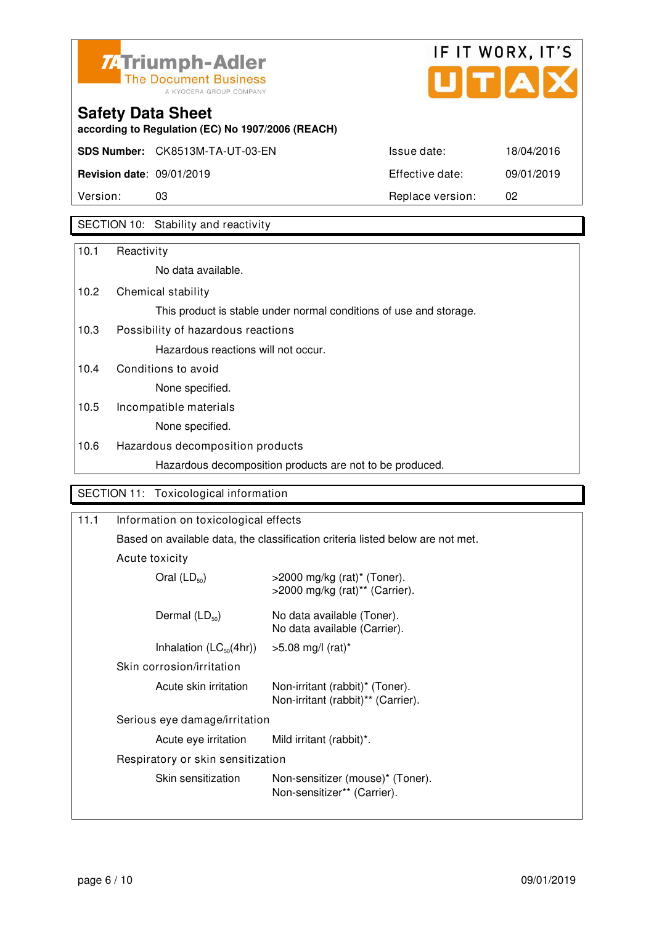![](_page_25_Picture_0.jpeg)

![](_page_25_Picture_1.jpeg)

**according to Regulation (EC) No 1907/2006 (REACH)**

| Version:                         | 03                                     | Replace version: | 02         |
|----------------------------------|----------------------------------------|------------------|------------|
| <b>Revision date: 09/01/2019</b> |                                        | Effective date:  | 09/01/2019 |
|                                  | <b>SDS Number:</b> CK8513M-TA-UT-03-EN | Issue date:      | 18/04/2016 |

## SECTION 10: Stability and reactivity

| 10.1 | Reactivity                                                         |
|------|--------------------------------------------------------------------|
|      | No data available.                                                 |
| 10.2 | Chemical stability                                                 |
|      | This product is stable under normal conditions of use and storage. |
| 10.3 | Possibility of hazardous reactions                                 |
|      | Hazardous reactions will not occur.                                |
| 10.4 | Conditions to avoid                                                |
|      | None specified.                                                    |
| 10.5 | Incompatible materials                                             |
|      | None specified.                                                    |
| 10.6 | Hazardous decomposition products                                   |
|      | Hazardous decomposition products are not to be produced.           |
|      |                                                                    |
|      | SECTION 11: Toxicological information                              |

| Based on available data, the classification criteria listed below are not met. |                                                                                                            |
|--------------------------------------------------------------------------------|------------------------------------------------------------------------------------------------------------|
| Acute toxicity                                                                 |                                                                                                            |
| Oral $(LD_{50})$                                                               | $>$ 2000 mg/kg (rat)* (Toner).<br>>2000 mg/kg (rat)** (Carrier).                                           |
| Dermal $(LD_{50})$                                                             | No data available (Toner).<br>No data available (Carrier).                                                 |
| Inhalation $(LC_{50}(4hr))$                                                    | $>5.08$ mg/l (rat)*                                                                                        |
| Skin corrosion/irritation                                                      |                                                                                                            |
| Acute skin irritation                                                          | Non-irritant (rabbit)* (Toner).<br>Non-irritant (rabbit)** (Carrier).                                      |
|                                                                                |                                                                                                            |
| Acute eye irritation                                                           | Mild irritant (rabbit)*.                                                                                   |
|                                                                                |                                                                                                            |
| Skin sensitization                                                             | Non-sensitizer (mouse)* (Toner).<br>Non-sensitizer** (Carrier).                                            |
|                                                                                | Information on toxicological effects<br>Serious eye damage/irritation<br>Respiratory or skin sensitization |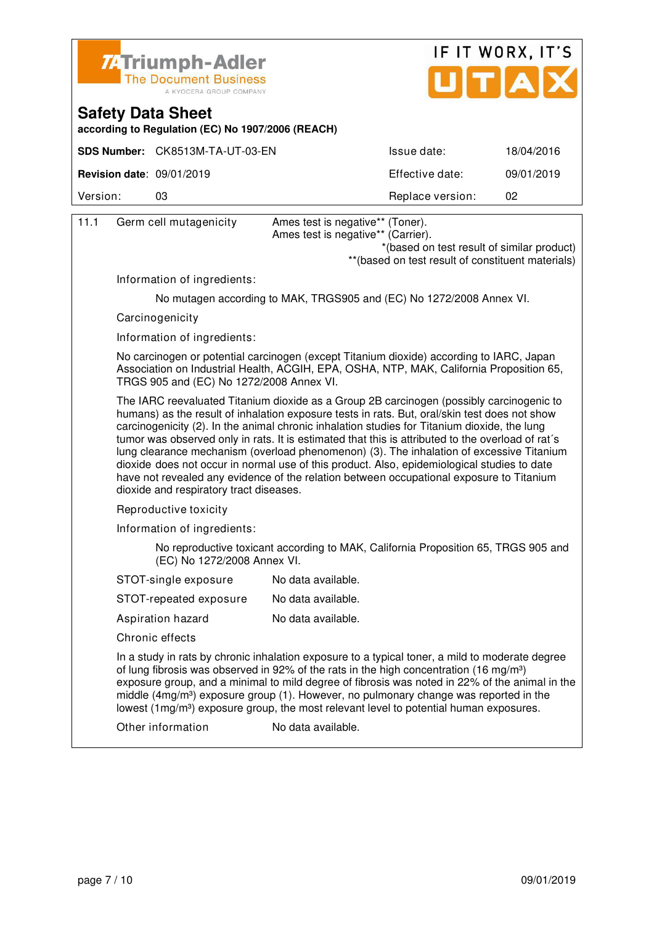![](_page_26_Picture_0.jpeg)

![](_page_26_Picture_1.jpeg)

**according to Regulation (EC) No 1907/2006 (REACH)**

|                                  | SDS Number: CK8513M-TA-UT-03-EN | Issue date:      | 18/04/2016 |
|----------------------------------|---------------------------------|------------------|------------|
| <b>Revision date: 09/01/2019</b> |                                 | Effective date:  | 09/01/2019 |
| Version:                         | 03                              | Replace version: | 02         |

| 11.1 | Germ cell mutagenicity                   | Ames test is negative** (Toner).<br>Ames test is negative** (Carrier).                                                                                                                                                                                                                                                                                                                                                                                                                                                                                                                                                                                                                |
|------|------------------------------------------|---------------------------------------------------------------------------------------------------------------------------------------------------------------------------------------------------------------------------------------------------------------------------------------------------------------------------------------------------------------------------------------------------------------------------------------------------------------------------------------------------------------------------------------------------------------------------------------------------------------------------------------------------------------------------------------|
|      |                                          | *(based on test result of similar product)<br>** (based on test result of constituent materials)                                                                                                                                                                                                                                                                                                                                                                                                                                                                                                                                                                                      |
|      | Information of ingredients:              |                                                                                                                                                                                                                                                                                                                                                                                                                                                                                                                                                                                                                                                                                       |
|      |                                          | No mutagen according to MAK, TRGS905 and (EC) No 1272/2008 Annex VI.                                                                                                                                                                                                                                                                                                                                                                                                                                                                                                                                                                                                                  |
|      | Carcinogenicity                          |                                                                                                                                                                                                                                                                                                                                                                                                                                                                                                                                                                                                                                                                                       |
|      | Information of ingredients:              |                                                                                                                                                                                                                                                                                                                                                                                                                                                                                                                                                                                                                                                                                       |
|      | TRGS 905 and (EC) No 1272/2008 Annex VI. | No carcinogen or potential carcinogen (except Titanium dioxide) according to IARC, Japan<br>Association on Industrial Health, ACGIH, EPA, OSHA, NTP, MAK, California Proposition 65,                                                                                                                                                                                                                                                                                                                                                                                                                                                                                                  |
|      | dioxide and respiratory tract diseases.  | The IARC reevaluated Titanium dioxide as a Group 2B carcinogen (possibly carcinogenic to<br>humans) as the result of inhalation exposure tests in rats. But, oral/skin test does not show<br>carcinogenicity (2). In the animal chronic inhalation studies for Titanium dioxide, the lung<br>tumor was observed only in rats. It is estimated that this is attributed to the overload of rat's<br>lung clearance mechanism (overload phenomenon) (3). The inhalation of excessive Titanium<br>dioxide does not occur in normal use of this product. Also, epidemiological studies to date<br>have not revealed any evidence of the relation between occupational exposure to Titanium |
|      | Reproductive toxicity                    |                                                                                                                                                                                                                                                                                                                                                                                                                                                                                                                                                                                                                                                                                       |
|      | Information of ingredients:              |                                                                                                                                                                                                                                                                                                                                                                                                                                                                                                                                                                                                                                                                                       |
|      | (EC) No 1272/2008 Annex VI.              | No reproductive toxicant according to MAK, California Proposition 65, TRGS 905 and                                                                                                                                                                                                                                                                                                                                                                                                                                                                                                                                                                                                    |
|      | STOT-single exposure                     | No data available.                                                                                                                                                                                                                                                                                                                                                                                                                                                                                                                                                                                                                                                                    |
|      | STOT-repeated exposure                   | No data available.                                                                                                                                                                                                                                                                                                                                                                                                                                                                                                                                                                                                                                                                    |
|      | Aspiration hazard                        | No data available.                                                                                                                                                                                                                                                                                                                                                                                                                                                                                                                                                                                                                                                                    |
|      | Chronic effects                          |                                                                                                                                                                                                                                                                                                                                                                                                                                                                                                                                                                                                                                                                                       |
|      |                                          | In a study in rats by chronic inhalation exposure to a typical toner, a mild to moderate degree<br>of lung fibrosis was observed in 92% of the rats in the high concentration (16 mg/m <sup>3</sup> )<br>exposure group, and a minimal to mild degree of fibrosis was noted in 22% of the animal in the<br>middle (4mg/m <sup>3</sup> ) exposure group (1). However, no pulmonary change was reported in the<br>lowest (1mg/m <sup>3</sup> ) exposure group, the most relevant level to potential human exposures.                                                                                                                                                                    |
|      | Other information                        | No data available.                                                                                                                                                                                                                                                                                                                                                                                                                                                                                                                                                                                                                                                                    |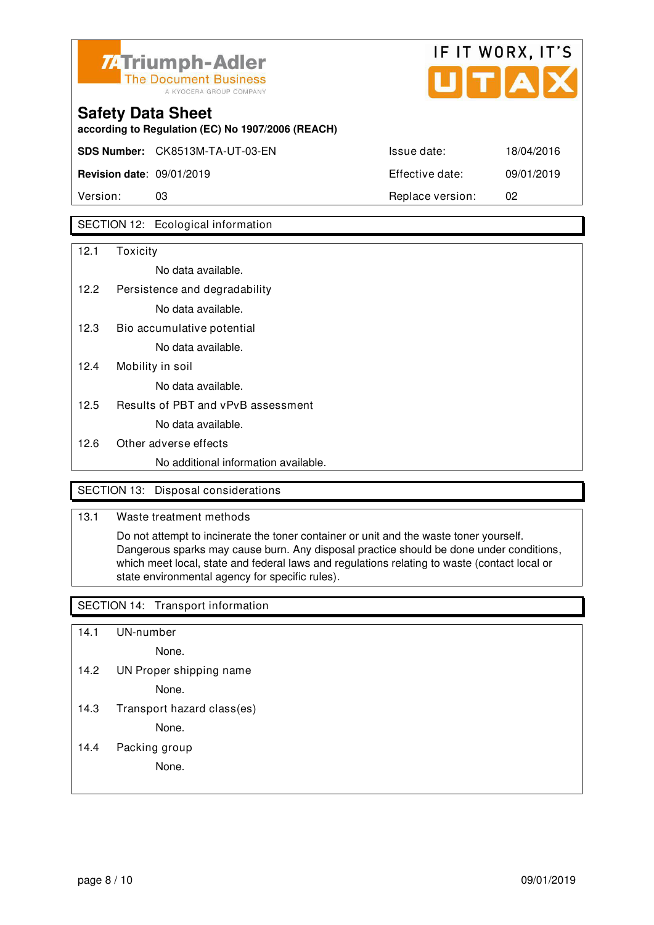![](_page_27_Picture_0.jpeg)

![](_page_27_Picture_1.jpeg)

| <b>Safety Data Sheet</b> |  |  |
|--------------------------|--|--|
|                          |  |  |

**according to Regulation (EC) No 1907/2006 (REACH)**

**SDS Number:** CK8513M-TA-UT-03-EN ISSUE date: 18/04/2016

**Revision date**: 09/01/2019 Effective date: 09/01/2019

Version: 03 Replace version: 02

## SECTION 12: Ecological information

| 12.1 | Toxicity                             |
|------|--------------------------------------|
|      | No data available.                   |
| 12.2 | Persistence and degradability        |
|      | No data available.                   |
| 12.3 | Bio accumulative potential           |
|      | No data available.                   |
| 12.4 | Mobility in soil                     |
|      | No data available.                   |
| 12.5 | Results of PBT and vPvB assessment   |
|      | No data available.                   |
| 12.6 | Other adverse effects                |
|      | No additional information available. |
|      |                                      |

### SECTION 13: Disposal considerations

### 13.1 Waste treatment methods

 Do not attempt to incinerate the toner container or unit and the waste toner yourself. Dangerous sparks may cause burn. Any disposal practice should be done under conditions, which meet local, state and federal laws and regulations relating to waste (contact local or state environmental agency for specific rules).

### SECTION 14: Transport information

- 14.1 UN-number
	- None.
- 14.2 UN Proper shipping name

None.

14.3 Transport hazard class(es)

None.

14.4 Packing group

None.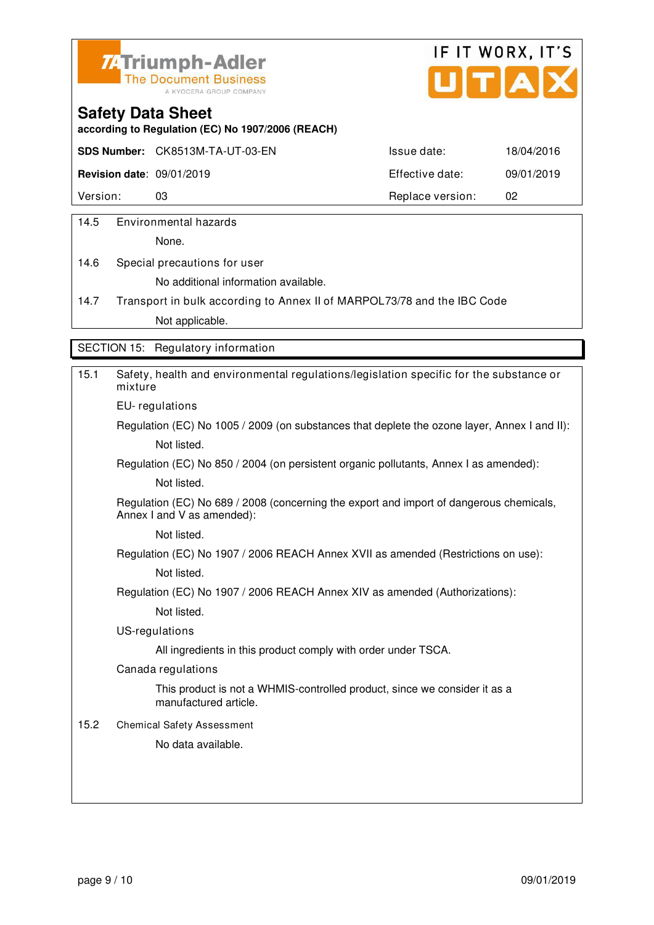![](_page_28_Picture_0.jpeg)

![](_page_28_Picture_1.jpeg)

**according to Regulation (EC) No 1907/2006 (REACH)**

**SDS Number:** CK8513M-TA-UT-03-EN Issue date: 18/04/2016

**Revision date**: 09/01/2019 Effective date: 09/01/2019

Version: 03 03 Replace version: 02

14.5 Environmental hazards

None.

14.6 Special precautions for user No additional information available.

14.7 Transport in bulk according to Annex II of MARPOL73/78 and the IBC Code Not applicable.

SECTION 15: Regulatory information

| 15.1 | Safety, health and environmental regulations/legislation specific for the substance or<br>mixture                     |
|------|-----------------------------------------------------------------------------------------------------------------------|
|      | EU-regulations                                                                                                        |
|      | Regulation (EC) No 1005 / 2009 (on substances that deplete the ozone layer, Annex I and II):                          |
|      | Not listed.                                                                                                           |
|      | Regulation (EC) No 850 / 2004 (on persistent organic pollutants, Annex I as amended):                                 |
|      | Not listed.                                                                                                           |
|      | Regulation (EC) No 689 / 2008 (concerning the export and import of dangerous chemicals,<br>Annex I and V as amended): |
|      | Not listed.                                                                                                           |
|      | Regulation (EC) No 1907 / 2006 REACH Annex XVII as amended (Restrictions on use):                                     |
|      | Not listed.                                                                                                           |
|      | Regulation (EC) No 1907 / 2006 REACH Annex XIV as amended (Authorizations):                                           |
|      | Not listed.                                                                                                           |
|      | US-regulations                                                                                                        |
|      | All ingredients in this product comply with order under TSCA.                                                         |
|      | Canada regulations                                                                                                    |
|      | This product is not a WHMIS-controlled product, since we consider it as a<br>manufactured article.                    |
| 15.2 | <b>Chemical Safety Assessment</b>                                                                                     |
|      | No data available.                                                                                                    |
|      |                                                                                                                       |
|      |                                                                                                                       |
|      |                                                                                                                       |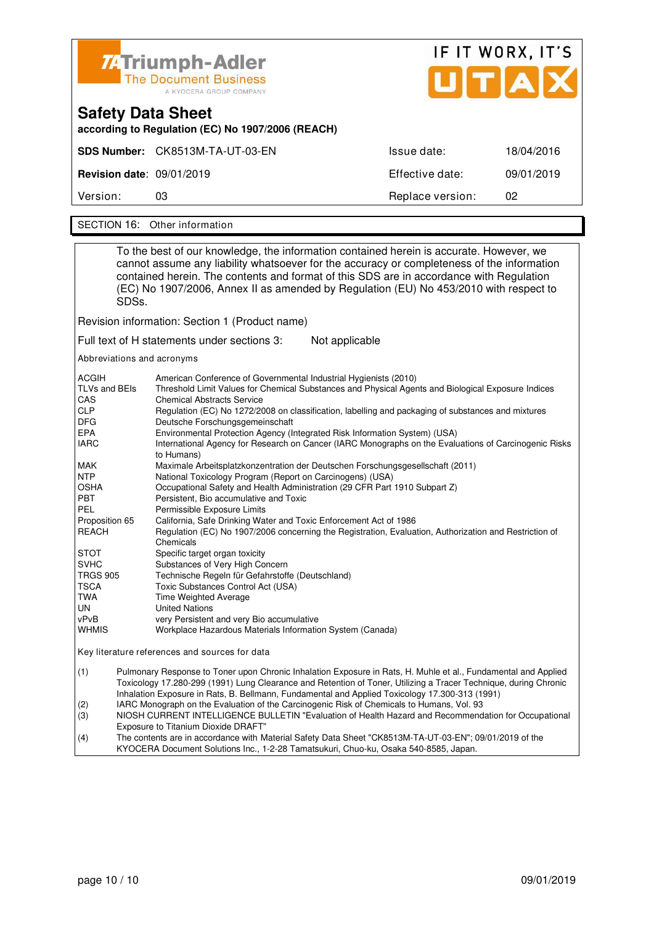| Z:Triumph-Adler<br><b>The Document Business</b><br>A KYOCERA GROUP COMPANY    |                                 | IF IT WORX, IT'S<br>UTAD |            |
|-------------------------------------------------------------------------------|---------------------------------|--------------------------|------------|
| <b>Safety Data Sheet</b><br>according to Regulation (EC) No 1907/2006 (REACH) |                                 |                          |            |
|                                                                               | SDS Number: CK8513M-TA-UT-03-EN | Issue date:              | 18/04/2016 |
| <b>Revision date: 09/01/2019</b>                                              |                                 | Effective date:          | 09/01/2019 |
| Version:                                                                      | 03                              | Replace version:         | 02         |

SECTION 16: Other information

| To the best of our knowledge, the information contained herein is accurate. However, we<br>cannot assume any liability whatsoever for the accuracy or completeness of the information<br>contained herein. The contents and format of this SDS are in accordance with Regulation<br>(EC) No 1907/2006, Annex II as amended by Regulation (EU) No 453/2010 with respect to<br>SDSs. |                                                                                                                                                                                                                                                                                                                                                                                                                                                                                                                                                                                                                                                                                                                                                                                                                                                                                                                                                                                                                                                                                                                                                                                                                                                                                                                                                                                        |  |
|------------------------------------------------------------------------------------------------------------------------------------------------------------------------------------------------------------------------------------------------------------------------------------------------------------------------------------------------------------------------------------|----------------------------------------------------------------------------------------------------------------------------------------------------------------------------------------------------------------------------------------------------------------------------------------------------------------------------------------------------------------------------------------------------------------------------------------------------------------------------------------------------------------------------------------------------------------------------------------------------------------------------------------------------------------------------------------------------------------------------------------------------------------------------------------------------------------------------------------------------------------------------------------------------------------------------------------------------------------------------------------------------------------------------------------------------------------------------------------------------------------------------------------------------------------------------------------------------------------------------------------------------------------------------------------------------------------------------------------------------------------------------------------|--|
|                                                                                                                                                                                                                                                                                                                                                                                    | Revision information: Section 1 (Product name)                                                                                                                                                                                                                                                                                                                                                                                                                                                                                                                                                                                                                                                                                                                                                                                                                                                                                                                                                                                                                                                                                                                                                                                                                                                                                                                                         |  |
|                                                                                                                                                                                                                                                                                                                                                                                    | Full text of H statements under sections 3:<br>Not applicable                                                                                                                                                                                                                                                                                                                                                                                                                                                                                                                                                                                                                                                                                                                                                                                                                                                                                                                                                                                                                                                                                                                                                                                                                                                                                                                          |  |
| Abbreviations and acronyms                                                                                                                                                                                                                                                                                                                                                         |                                                                                                                                                                                                                                                                                                                                                                                                                                                                                                                                                                                                                                                                                                                                                                                                                                                                                                                                                                                                                                                                                                                                                                                                                                                                                                                                                                                        |  |
| ACGIH<br>TLVs and BEIs<br>CAS<br><b>CLP</b><br><b>DFG</b><br>EPA<br><b>IARC</b><br>MAK<br><b>NTP</b><br>OSHA<br><b>PBT</b><br><b>PEL</b><br>Proposition 65<br><b>REACH</b><br>STOT<br><b>SVHC</b><br><b>TRGS 905</b><br>TSCA<br>TWA<br>UN<br>vPvB<br><b>WHMIS</b>                                                                                                                  | American Conference of Governmental Industrial Hygienists (2010)<br>Threshold Limit Values for Chemical Substances and Physical Agents and Biological Exposure Indices<br><b>Chemical Abstracts Service</b><br>Regulation (EC) No 1272/2008 on classification, labelling and packaging of substances and mixtures<br>Deutsche Forschungsgemeinschaft<br>Environmental Protection Agency (Integrated Risk Information System) (USA)<br>International Agency for Research on Cancer (IARC Monographs on the Evaluations of Carcinogenic Risks<br>to Humans)<br>Maximale Arbeitsplatzkonzentration der Deutschen Forschungsgesellschaft (2011)<br>National Toxicology Program (Report on Carcinogens) (USA)<br>Occupational Safety and Health Administration (29 CFR Part 1910 Subpart Z)<br>Persistent, Bio accumulative and Toxic<br>Permissible Exposure Limits<br>California, Safe Drinking Water and Toxic Enforcement Act of 1986<br>Regulation (EC) No 1907/2006 concerning the Registration, Evaluation, Authorization and Restriction of<br>Chemicals<br>Specific target organ toxicity<br>Substances of Very High Concern<br>Technische Regeln für Gefahrstoffe (Deutschland)<br>Toxic Substances Control Act (USA)<br>Time Weighted Average<br><b>United Nations</b><br>very Persistent and very Bio accumulative<br>Workplace Hazardous Materials Information System (Canada) |  |
| Key literature references and sources for data                                                                                                                                                                                                                                                                                                                                     |                                                                                                                                                                                                                                                                                                                                                                                                                                                                                                                                                                                                                                                                                                                                                                                                                                                                                                                                                                                                                                                                                                                                                                                                                                                                                                                                                                                        |  |
| (1)<br>(2)<br>(3)<br>(4)                                                                                                                                                                                                                                                                                                                                                           | Pulmonary Response to Toner upon Chronic Inhalation Exposure in Rats, H. Muhle et al., Fundamental and Applied<br>Toxicology 17.280-299 (1991) Lung Clearance and Retention of Toner, Utilizing a Tracer Technique, during Chronic<br>Inhalation Exposure in Rats, B. Bellmann, Fundamental and Applied Toxicology 17.300-313 (1991)<br>IARC Monograph on the Evaluation of the Carcinogenic Risk of Chemicals to Humans, Vol. 93<br>NIOSH CURRENT INTELLIGENCE BULLETIN "Evaluation of Health Hazard and Recommendation for Occupational<br>Exposure to Titanium Dioxide DRAFT"<br>The contents are in accordance with Material Safety Data Sheet "CK8513M-TA-UT-03-EN"; 09/01/2019 of the                                                                                                                                                                                                                                                                                                                                                                                                                                                                                                                                                                                                                                                                                            |  |

KYOCERA Document Solutions Inc., 1-2-28 Tamatsukuri, Chuo-ku, Osaka 540-8585, Japan.

٦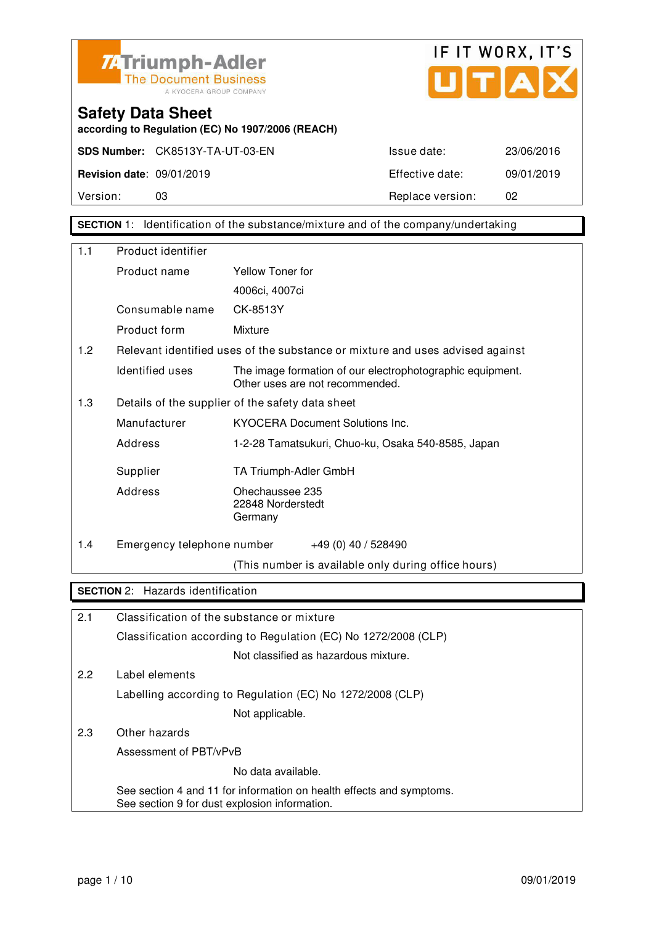![](_page_30_Picture_0.jpeg)

![](_page_30_Picture_1.jpeg)

**according to Regulation (EC) No 1907/2006 (REACH)**

Version: 03 Replace version: 02

### **SECTION** 1: Identification of the substance/mixture and of the company/undertaking

| 1.1 | Product identifier                                                   |                                                                                              |
|-----|----------------------------------------------------------------------|----------------------------------------------------------------------------------------------|
|     | Product name                                                         | Yellow Toner for                                                                             |
|     |                                                                      | 4006ci, 4007ci                                                                               |
|     | Consumable name                                                      | CK-8513Y                                                                                     |
|     | Product form                                                         | Mixture                                                                                      |
| 1.2 |                                                                      | Relevant identified uses of the substance or mixture and uses advised against                |
|     | Identified uses                                                      | The image formation of our electrophotographic equipment.<br>Other uses are not recommended. |
| 1.3 |                                                                      | Details of the supplier of the safety data sheet                                             |
|     | Manufacturer                                                         | <b>KYOCERA Document Solutions Inc.</b>                                                       |
|     | Address                                                              | 1-2-28 Tamatsukuri, Chuo-ku, Osaka 540-8585, Japan                                           |
|     | Supplier                                                             | TA Triumph-Adler GmbH                                                                        |
|     | Address                                                              | Ohechaussee 235<br>22848 Norderstedt<br>Germany                                              |
| 1.4 | Emergency telephone number                                           | +49 (0) 40 / 528490                                                                          |
|     |                                                                      | (This number is available only during office hours)                                          |
|     | <b>SECTION 2:</b> Hazards identification                             |                                                                                              |
|     |                                                                      |                                                                                              |
| 2.1 |                                                                      | Classification of the substance or mixture                                                   |
|     |                                                                      | Classification according to Regulation (EC) No 1272/2008 (CLP)                               |
|     |                                                                      | Not classified as hazardous mixture.                                                         |
| 2.2 | Label elements                                                       |                                                                                              |
|     |                                                                      | Labelling according to Regulation (EC) No 1272/2008 (CLP)                                    |
|     |                                                                      | Not applicable.                                                                              |
| 2.3 | Other hazards                                                        |                                                                                              |
|     | Assessment of PBT/vPvB                                               |                                                                                              |
|     |                                                                      | No data available.                                                                           |
|     | See section 4 and 11 for information on health effects and symptoms. |                                                                                              |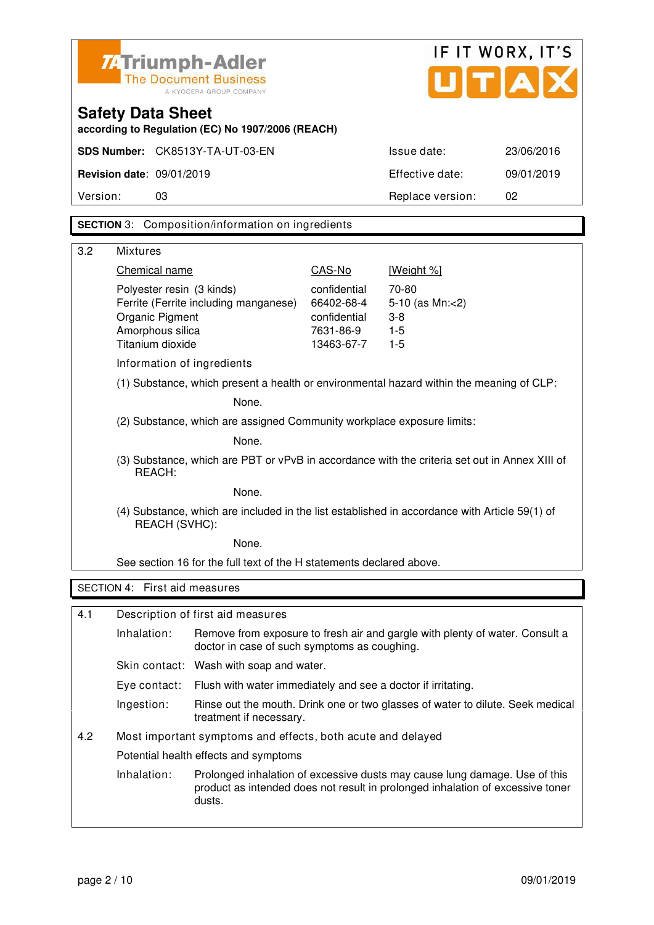|          | <b>74 Triumph-Adler</b>                                                                                        | <b>The Document Business</b><br>A KYOCERA GROUP COMPANY                                  | UITIA                   | IF IT WORX, IT'S                                                                                                                                             |            |
|----------|----------------------------------------------------------------------------------------------------------------|------------------------------------------------------------------------------------------|-------------------------|--------------------------------------------------------------------------------------------------------------------------------------------------------------|------------|
|          | <b>Safety Data Sheet</b>                                                                                       | according to Regulation (EC) No 1907/2006 (REACH)                                        |                         |                                                                                                                                                              |            |
|          |                                                                                                                | SDS Number: CK8513Y-TA-UT-03-EN                                                          |                         | Issue date:                                                                                                                                                  | 23/06/2016 |
|          | <b>Revision date: 09/01/2019</b>                                                                               |                                                                                          |                         | Effective date:                                                                                                                                              | 09/01/2019 |
| Version: | 03                                                                                                             |                                                                                          |                         | Replace version:                                                                                                                                             | 02         |
|          |                                                                                                                | <b>SECTION</b> 3: Composition/information on ingredients                                 |                         |                                                                                                                                                              |            |
|          |                                                                                                                |                                                                                          |                         |                                                                                                                                                              |            |
| 3.2      | <b>Mixtures</b><br>Chemical name                                                                               |                                                                                          | CAS-No                  | [Weight %]                                                                                                                                                   |            |
|          | Polyester resin (3 kinds)                                                                                      |                                                                                          | confidential            | 70-80                                                                                                                                                        |            |
|          |                                                                                                                | Ferrite (Ferrite including manganese)                                                    | 66402-68-4              | 5-10 (as Mn:<2)                                                                                                                                              |            |
|          | Organic Pigment                                                                                                |                                                                                          | confidential            | $3 - 8$                                                                                                                                                      |            |
|          | Amorphous silica<br>Titanium dioxide                                                                           |                                                                                          | 7631-86-9<br>13463-67-7 | $1 - 5$<br>$1-5$                                                                                                                                             |            |
|          | Information of ingredients                                                                                     |                                                                                          |                         |                                                                                                                                                              |            |
|          |                                                                                                                | (1) Substance, which present a health or environmental hazard within the meaning of CLP: |                         |                                                                                                                                                              |            |
|          |                                                                                                                | None.                                                                                    |                         |                                                                                                                                                              |            |
|          |                                                                                                                | (2) Substance, which are assigned Community workplace exposure limits:                   |                         |                                                                                                                                                              |            |
|          | None.                                                                                                          |                                                                                          |                         |                                                                                                                                                              |            |
|          | (3) Substance, which are PBT or vPvB in accordance with the criteria set out in Annex XIII of<br>REACH:        |                                                                                          |                         |                                                                                                                                                              |            |
|          |                                                                                                                | None.                                                                                    |                         |                                                                                                                                                              |            |
|          | (4) Substance, which are included in the list established in accordance with Article 59(1) of<br>REACH (SVHC): |                                                                                          |                         |                                                                                                                                                              |            |
|          |                                                                                                                | None.                                                                                    |                         |                                                                                                                                                              |            |
|          |                                                                                                                | See section 16 for the full text of the H statements declared above.                     |                         |                                                                                                                                                              |            |
|          | SECTION 4: First aid measures                                                                                  |                                                                                          |                         |                                                                                                                                                              |            |
| 4.1      |                                                                                                                | Description of first aid measures                                                        |                         |                                                                                                                                                              |            |
|          | Inhalation:                                                                                                    | doctor in case of such symptoms as coughing.                                             |                         | Remove from exposure to fresh air and gargle with plenty of water. Consult a                                                                                 |            |
|          |                                                                                                                | Skin contact: Wash with soap and water.                                                  |                         |                                                                                                                                                              |            |
|          | Eye contact:                                                                                                   | Flush with water immediately and see a doctor if irritating.                             |                         |                                                                                                                                                              |            |
|          | Ingestion:                                                                                                     | treatment if necessary.                                                                  |                         | Rinse out the mouth. Drink one or two glasses of water to dilute. Seek medical                                                                               |            |
| 4.2      |                                                                                                                | Most important symptoms and effects, both acute and delayed                              |                         |                                                                                                                                                              |            |
|          |                                                                                                                | Potential health effects and symptoms                                                    |                         |                                                                                                                                                              |            |
|          | Inhalation:                                                                                                    | dusts.                                                                                   |                         | Prolonged inhalation of excessive dusts may cause lung damage. Use of this<br>product as intended does not result in prolonged inhalation of excessive toner |            |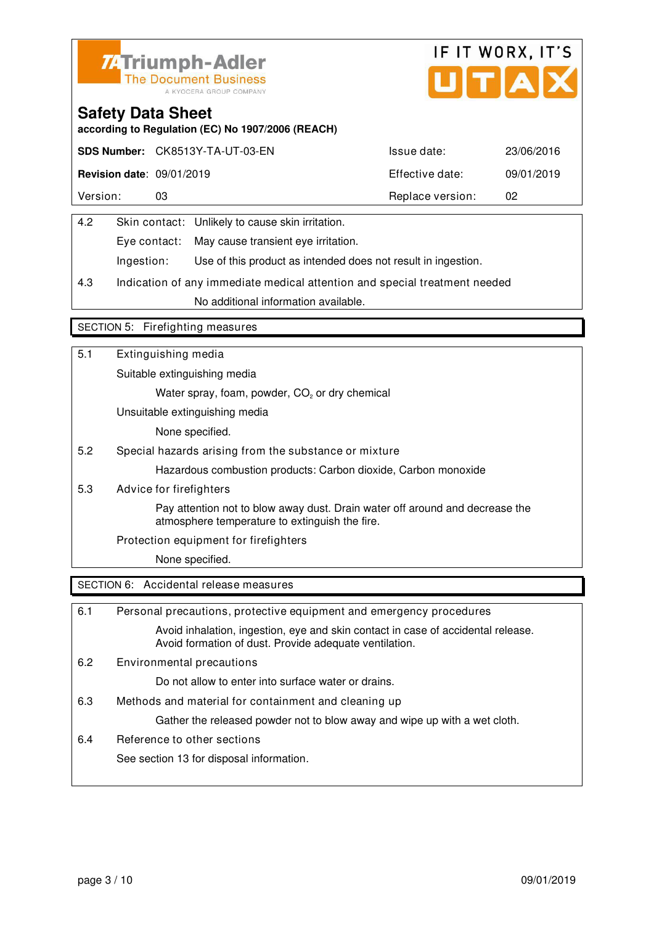![](_page_32_Picture_0.jpeg)

![](_page_32_Picture_1.jpeg)

**according to Regulation (EC) No 1907/2006 (REACH)**

|                                  | SDS Number: CK8513Y-TA-UT-03-EN | Issue date:      | 23/06/2016 |
|----------------------------------|---------------------------------|------------------|------------|
| <b>Revision date: 09/01/2019</b> |                                 | Effective date:  | 09/01/2019 |
| Version:                         | 03                              | Replace version: | 02         |

| 4.2 |            | Skin contact: Unlikely to cause skin irritation.              |  |
|-----|------------|---------------------------------------------------------------|--|
|     |            | Eye contact: May cause transient eye irritation.              |  |
|     | Ingestion: | Use of this product as intended does not result in ingestion. |  |
|     |            |                                                               |  |

4.3 Indication of any immediate medical attention and special treatment needed No additional information available.

#### SECTION 5: Firefighting measures

| 5.1 | Extinguishing media                                                                                                            |
|-----|--------------------------------------------------------------------------------------------------------------------------------|
|     | Suitable extinguishing media                                                                                                   |
|     | Water spray, foam, powder, CO <sub>2</sub> or dry chemical                                                                     |
|     | Unsuitable extinguishing media                                                                                                 |
|     | None specified.                                                                                                                |
| 5.2 | Special hazards arising from the substance or mixture                                                                          |
|     | Hazardous combustion products: Carbon dioxide, Carbon monoxide                                                                 |
| 5.3 | Advice for firefighters                                                                                                        |
|     | Pay attention not to blow away dust. Drain water off around and decrease the<br>atmosphere temperature to extinguish the fire. |
|     | Protection equipment for firefighters                                                                                          |
|     | None specified.                                                                                                                |
|     | SECTION 6: Accidental release measures                                                                                         |

| 6.1 | Personal precautions, protective equipment and emergency procedures                                                                        |
|-----|--------------------------------------------------------------------------------------------------------------------------------------------|
|     | Avoid inhalation, ingestion, eye and skin contact in case of accidental release.<br>Avoid formation of dust. Provide adequate ventilation. |
| 6.2 | Environmental precautions                                                                                                                  |
|     | Do not allow to enter into surface water or drains.                                                                                        |
| 6.3 | Methods and material for containment and cleaning up                                                                                       |
|     | Gather the released powder not to blow away and wipe up with a wet cloth.                                                                  |
| 6.4 | Reference to other sections                                                                                                                |
|     | See section 13 for disposal information.                                                                                                   |
|     |                                                                                                                                            |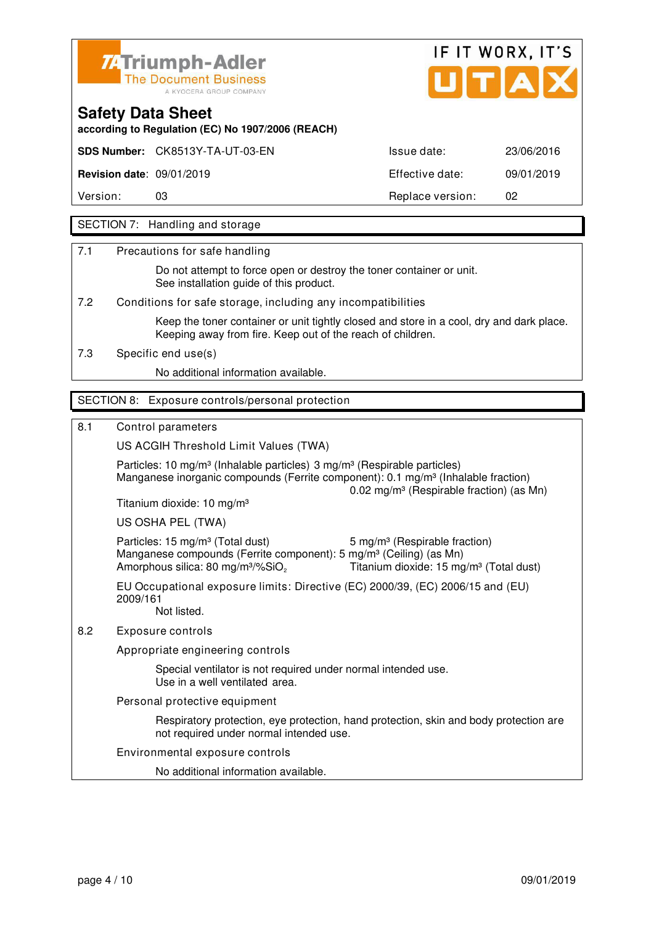![](_page_33_Picture_0.jpeg)

![](_page_33_Picture_1.jpeg)

**according to Regulation (EC) No 1907/2006 (REACH)**

**SDS Number:** CK8513Y-TA-UT-03-EN Issue date: 23/06/2016

**Revision date**: 09/01/2019 Effective date: 09/01/2019

Version: 03 03 Replace version: 02

### SECTION 7: Handling and storage

7.1 Precautions for safe handling

 Do not attempt to force open or destroy the toner container or unit. See installation guide of this product.

7.2 Conditions for safe storage, including any incompatibilities

 Keep the toner container or unit tightly closed and store in a cool, dry and dark place. Keeping away from fire. Keep out of the reach of children.

7.3 Specific end use(s)

No additional information available.

### SECTION 8: Exposure controls/personal protection

#### 8.1 Control parameters

US ACGIH Threshold Limit Values (TWA)

Particles: 10 mg/m<sup>3</sup> (Inhalable particles) 3 mg/m<sup>3</sup> (Respirable particles) Manganese inorganic compounds (Ferrite component):  $0.1 \text{ ma/m}^3$  (Inhalable fraction) 0.02 mg/m³ (Respirable fraction) (as Mn) Titanium dioxide: 10 mg/m³ US OSHA PEL (TWA) Particles: 15 mg/m<sup>3</sup> (Total dust) 5 mg/m<sup>3</sup> (Respirable fraction)

Manganese compounds (Ferrite component): 5 mg/m<sup>3</sup> (Ceiling) (as Mn) Amorphous silica: 80 mg/m<sup>3</sup>/%SiO<sub>2</sub> Titanium dioxide: 15 mg/m<sup>3</sup> (Total dust) EU Occupational exposure limits: Directive (EC) 2000/39, (EC) 2006/15 and (EU)

 2009/161 Not listed.

8.2 Exposure controls

Appropriate engineering controls

 Special ventilator is not required under normal intended use. Use in a well ventilated area.

Personal protective equipment

 Respiratory protection, eye protection, hand protection, skin and body protection are not required under normal intended use.

Environmental exposure controls

No additional information available.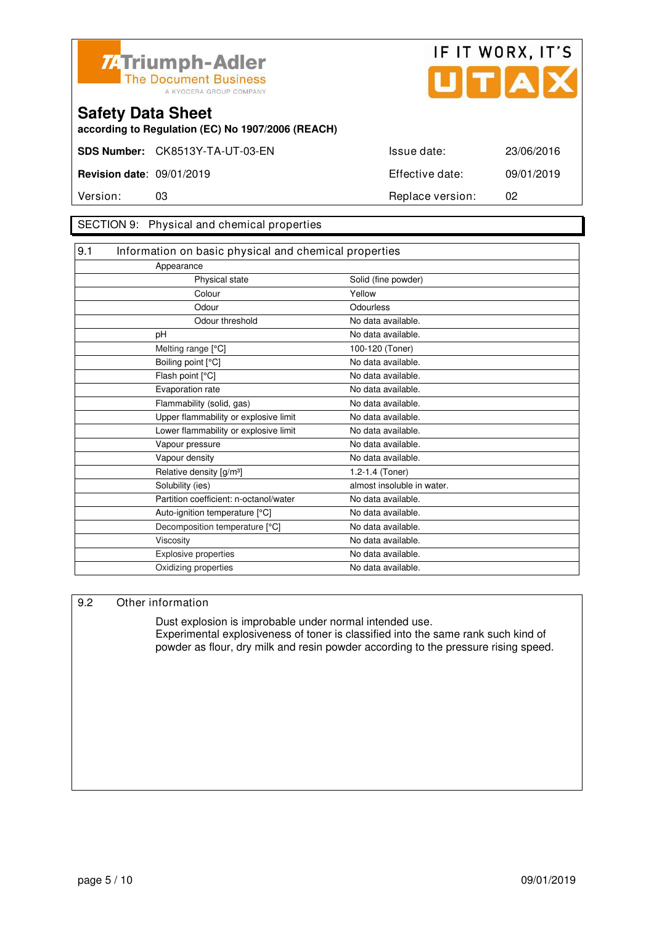![](_page_34_Picture_0.jpeg)

![](_page_34_Picture_1.jpeg)

**according to Regulation (EC) No 1907/2006 (REACH)**

#### SECTION 9: Physical and chemical properties

| 9.1<br>Information on basic physical and chemical properties |  |  |
|--------------------------------------------------------------|--|--|
|                                                              |  |  |
| Solid (fine powder)                                          |  |  |
| Yellow                                                       |  |  |
| Odourless                                                    |  |  |
| No data available.                                           |  |  |
| No data available.                                           |  |  |
| 100-120 (Toner)                                              |  |  |
| No data available.                                           |  |  |
| No data available.                                           |  |  |
| No data available.                                           |  |  |
| No data available.                                           |  |  |
| No data available.                                           |  |  |
| No data available.                                           |  |  |
| No data available.                                           |  |  |
| No data available.                                           |  |  |
| 1.2-1.4 (Toner)                                              |  |  |
| almost insoluble in water.                                   |  |  |
| No data available.                                           |  |  |
| No data available.                                           |  |  |
| No data available.                                           |  |  |
| No data available.                                           |  |  |
| No data available.                                           |  |  |
| No data available.                                           |  |  |
|                                                              |  |  |

#### 9.2 Other information

 Dust explosion is improbable under normal intended use. Experimental explosiveness of toner is classified into the same rank such kind of powder as flour, dry milk and resin powder according to the pressure rising speed.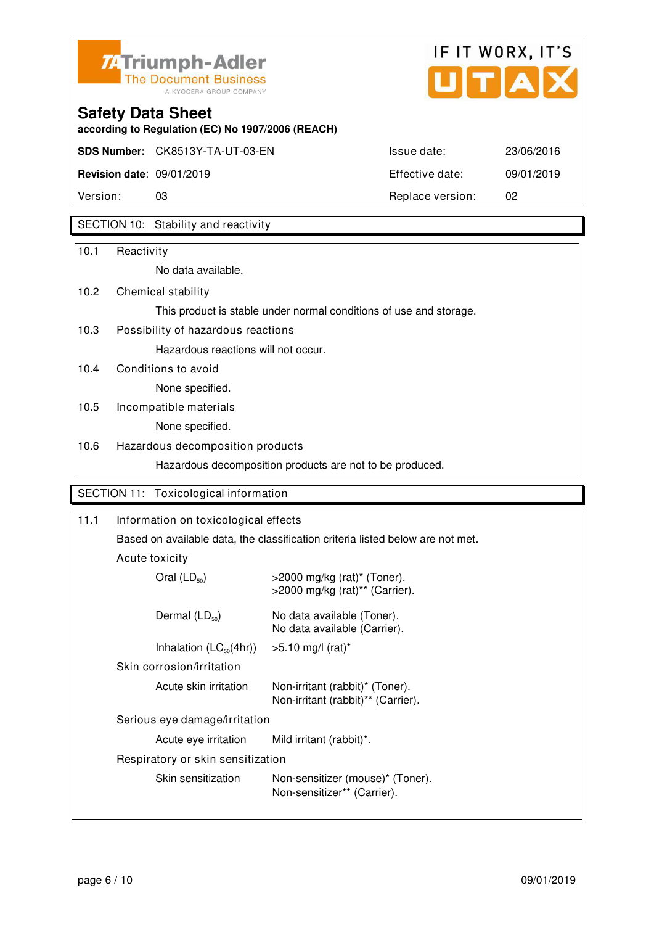![](_page_35_Picture_0.jpeg)

![](_page_35_Picture_1.jpeg)

**according to Regulation (EC) No 1907/2006 (REACH)**

| Version:                         | 03                                      | Replace version: | 02         |
|----------------------------------|-----------------------------------------|------------------|------------|
| <b>Revision date: 09/01/2019</b> |                                         | Effective date:  | 09/01/2019 |
|                                  | <b>SDS Number:</b> CK8513Y-TA-UT-03-EN. | Issue date:      | 23/06/2016 |
|                                  |                                         |                  |            |

### SECTION 10: Stability and reactivity

| 10.1 | Reactivity                                                         |
|------|--------------------------------------------------------------------|
|      | No data available.                                                 |
| 10.2 | Chemical stability                                                 |
|      | This product is stable under normal conditions of use and storage. |
| 10.3 | Possibility of hazardous reactions                                 |
|      | Hazardous reactions will not occur.                                |
| 10.4 | Conditions to avoid                                                |
|      | None specified.                                                    |
| 10.5 | Incompatible materials                                             |
|      | None specified.                                                    |
| 10.6 | Hazardous decomposition products                                   |
|      | Hazardous decomposition products are not to be produced.           |
|      |                                                                    |
|      | SECTION 11: Toxicological information                              |

| 11.1 | Information on toxicological effects                                           |                                                                                 |  |
|------|--------------------------------------------------------------------------------|---------------------------------------------------------------------------------|--|
|      | Based on available data, the classification criteria listed below are not met. |                                                                                 |  |
|      | Acute toxicity                                                                 |                                                                                 |  |
|      | Oral $(LD_{50})$                                                               | $>$ 2000 mg/kg (rat)* (Toner).<br>$>$ 2000 mg/kg (rat) <sup>**</sup> (Carrier). |  |
|      | Dermal $(LD_{50})$                                                             | No data available (Toner).<br>No data available (Carrier).                      |  |
|      | Inhalation $(LC_{50}(4hr))$                                                    | $>5.10$ mg/l (rat)*                                                             |  |
|      | Skin corrosion/irritation                                                      |                                                                                 |  |
|      | Acute skin irritation                                                          | Non-irritant (rabbit)* (Toner).<br>Non-irritant (rabbit)** (Carrier).           |  |
|      | Serious eye damage/irritation                                                  |                                                                                 |  |
|      | Acute eye irritation                                                           | Mild irritant (rabbit)*.                                                        |  |
|      | Respiratory or skin sensitization                                              |                                                                                 |  |
|      | Skin sensitization                                                             | Non-sensitizer (mouse)* (Toner).<br>Non-sensitizer** (Carrier).                 |  |
|      |                                                                                |                                                                                 |  |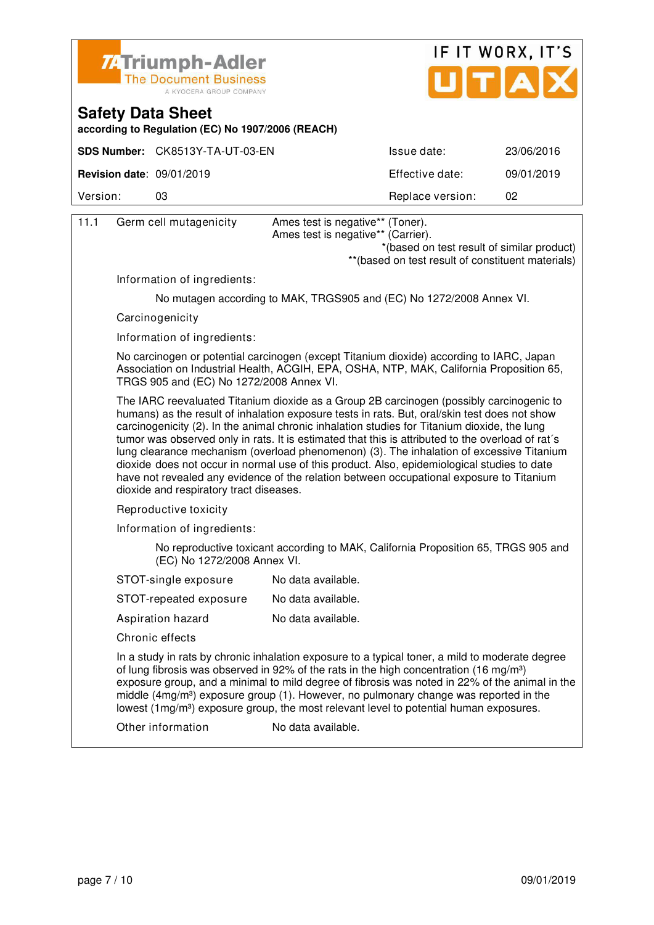![](_page_36_Picture_0.jpeg)

![](_page_36_Picture_1.jpeg)

**according to Regulation (EC) No 1907/2006 (REACH)**

|                                               | SDS Number: CK8513Y-TA-UT-03-EN | Issue date:      | 23/06/2016 |
|-----------------------------------------------|---------------------------------|------------------|------------|
| <b>Revision date: <math>09/01/2019</math></b> |                                 | Effective date:  | 09/01/2019 |
| Version:                                      | 03                              | Replace version: | 02         |

| 11.1 | Germ cell mutagenicity                   | Ames test is negative** (Toner).<br>Ames test is negative** (Carrier).<br>*(based on test result of similar product)                                                                                                                                                                                                                                                                                                                                                                                                                                                                                                                                                                  |
|------|------------------------------------------|---------------------------------------------------------------------------------------------------------------------------------------------------------------------------------------------------------------------------------------------------------------------------------------------------------------------------------------------------------------------------------------------------------------------------------------------------------------------------------------------------------------------------------------------------------------------------------------------------------------------------------------------------------------------------------------|
|      |                                          | ** (based on test result of constituent materials)                                                                                                                                                                                                                                                                                                                                                                                                                                                                                                                                                                                                                                    |
|      | Information of ingredients:              |                                                                                                                                                                                                                                                                                                                                                                                                                                                                                                                                                                                                                                                                                       |
|      |                                          | No mutagen according to MAK, TRGS905 and (EC) No 1272/2008 Annex VI.                                                                                                                                                                                                                                                                                                                                                                                                                                                                                                                                                                                                                  |
|      | Carcinogenicity                          |                                                                                                                                                                                                                                                                                                                                                                                                                                                                                                                                                                                                                                                                                       |
|      | Information of ingredients:              |                                                                                                                                                                                                                                                                                                                                                                                                                                                                                                                                                                                                                                                                                       |
|      | TRGS 905 and (EC) No 1272/2008 Annex VI. | No carcinogen or potential carcinogen (except Titanium dioxide) according to IARC, Japan<br>Association on Industrial Health, ACGIH, EPA, OSHA, NTP, MAK, California Proposition 65,                                                                                                                                                                                                                                                                                                                                                                                                                                                                                                  |
|      | dioxide and respiratory tract diseases.  | The IARC reevaluated Titanium dioxide as a Group 2B carcinogen (possibly carcinogenic to<br>humans) as the result of inhalation exposure tests in rats. But, oral/skin test does not show<br>carcinogenicity (2). In the animal chronic inhalation studies for Titanium dioxide, the lung<br>tumor was observed only in rats. It is estimated that this is attributed to the overload of rat's<br>lung clearance mechanism (overload phenomenon) (3). The inhalation of excessive Titanium<br>dioxide does not occur in normal use of this product. Also, epidemiological studies to date<br>have not revealed any evidence of the relation between occupational exposure to Titanium |
|      | Reproductive toxicity                    |                                                                                                                                                                                                                                                                                                                                                                                                                                                                                                                                                                                                                                                                                       |
|      | Information of ingredients:              |                                                                                                                                                                                                                                                                                                                                                                                                                                                                                                                                                                                                                                                                                       |
|      | (EC) No 1272/2008 Annex VI.              | No reproductive toxicant according to MAK, California Proposition 65, TRGS 905 and                                                                                                                                                                                                                                                                                                                                                                                                                                                                                                                                                                                                    |
|      | STOT-single exposure                     | No data available.                                                                                                                                                                                                                                                                                                                                                                                                                                                                                                                                                                                                                                                                    |
|      | STOT-repeated exposure                   | No data available.                                                                                                                                                                                                                                                                                                                                                                                                                                                                                                                                                                                                                                                                    |
|      | Aspiration hazard                        | No data available.                                                                                                                                                                                                                                                                                                                                                                                                                                                                                                                                                                                                                                                                    |
|      | Chronic effects                          |                                                                                                                                                                                                                                                                                                                                                                                                                                                                                                                                                                                                                                                                                       |
|      |                                          | In a study in rats by chronic inhalation exposure to a typical toner, a mild to moderate degree<br>of lung fibrosis was observed in 92% of the rats in the high concentration (16 mg/m <sup>3</sup> )<br>exposure group, and a minimal to mild degree of fibrosis was noted in 22% of the animal in the<br>middle (4mg/m <sup>3</sup> ) exposure group (1). However, no pulmonary change was reported in the<br>lowest (1mg/m <sup>3</sup> ) exposure group, the most relevant level to potential human exposures.                                                                                                                                                                    |
|      | Other information                        | No data available.                                                                                                                                                                                                                                                                                                                                                                                                                                                                                                                                                                                                                                                                    |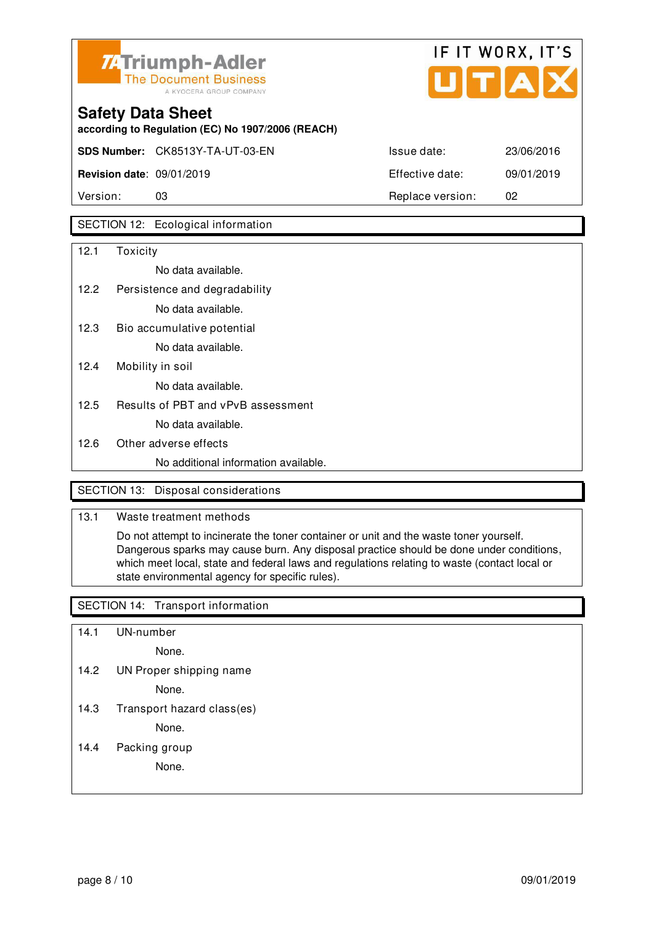![](_page_37_Picture_0.jpeg)

![](_page_37_Picture_1.jpeg)

**SDS Number:** CK8513Y-TA-UT-03-EN Issue date: 23/06/2016 **Revision date**: 09/01/2019 Effective date: 09/01/2019

**according to Regulation (EC) No 1907/2006 (REACH)**

Version: 03 Replace version: 02

### SECTION 12: Ecological information

| 12.1 | Toxicity                             |
|------|--------------------------------------|
|      | No data available.                   |
| 12.2 | Persistence and degradability        |
|      | No data available.                   |
| 12.3 | Bio accumulative potential           |
|      | No data available.                   |
| 12.4 | Mobility in soil                     |
|      | No data available.                   |
| 12.5 | Results of PBT and vPvB assessment   |
|      | No data available.                   |
| 12.6 | Other adverse effects                |
|      | No additional information available. |
|      |                                      |

### SECTION 13: Disposal considerations

#### 13.1 Waste treatment methods

 Do not attempt to incinerate the toner container or unit and the waste toner yourself. Dangerous sparks may cause burn. Any disposal practice should be done under conditions, which meet local, state and federal laws and regulations relating to waste (contact local or state environmental agency for specific rules).

#### SECTION 14: Transport information

- 14.1 UN-number
	- None.
- 14.2 UN Proper shipping name

None.

14.3 Transport hazard class(es)

None.

14.4 Packing group

None.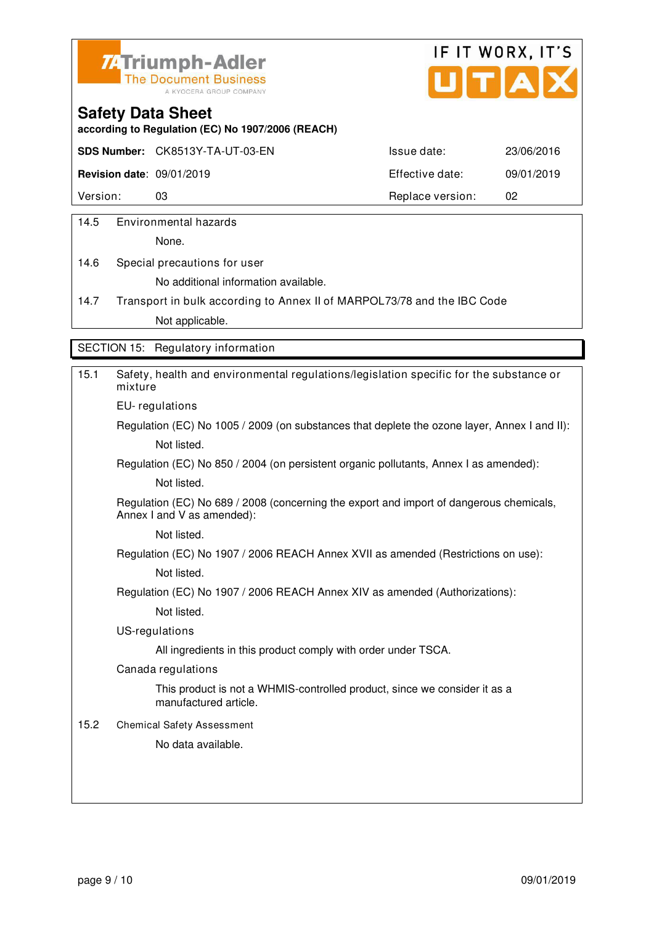![](_page_38_Picture_0.jpeg)

![](_page_38_Picture_1.jpeg)

**according to Regulation (EC) No 1907/2006 (REACH)**

**SDS Number:** CK8513Y-TA-UT-03-EN Issue date: 23/06/2016

**Revision date**: 09/01/2019 Effective date: 09/01/2019

Version: 03 03 Replace version: 02

14.5 Environmental hazards

None.

14.6 Special precautions for user No additional information available.

14.7 Transport in bulk according to Annex II of MARPOL73/78 and the IBC Code Not applicable.

SECTION 15: Regulatory information

| 15.1 | Safety, health and environmental regulations/legislation specific for the substance or<br>mixture                     |
|------|-----------------------------------------------------------------------------------------------------------------------|
|      | EU-regulations                                                                                                        |
|      | Regulation (EC) No 1005 / 2009 (on substances that deplete the ozone layer, Annex I and II):                          |
|      | Not listed.                                                                                                           |
|      | Regulation (EC) No 850 / 2004 (on persistent organic pollutants, Annex I as amended):                                 |
|      | Not listed.                                                                                                           |
|      | Regulation (EC) No 689 / 2008 (concerning the export and import of dangerous chemicals,<br>Annex I and V as amended): |
|      | Not listed.                                                                                                           |
|      | Regulation (EC) No 1907 / 2006 REACH Annex XVII as amended (Restrictions on use):                                     |
|      | Not listed.                                                                                                           |
|      | Regulation (EC) No 1907 / 2006 REACH Annex XIV as amended (Authorizations):                                           |
|      | Not listed.                                                                                                           |
|      | US-regulations                                                                                                        |
|      | All ingredients in this product comply with order under TSCA.                                                         |
|      | Canada regulations                                                                                                    |
|      | This product is not a WHMIS-controlled product, since we consider it as a<br>manufactured article.                    |
| 15.2 | <b>Chemical Safety Assessment</b>                                                                                     |
|      | No data available.                                                                                                    |
|      |                                                                                                                       |
|      |                                                                                                                       |
|      |                                                                                                                       |